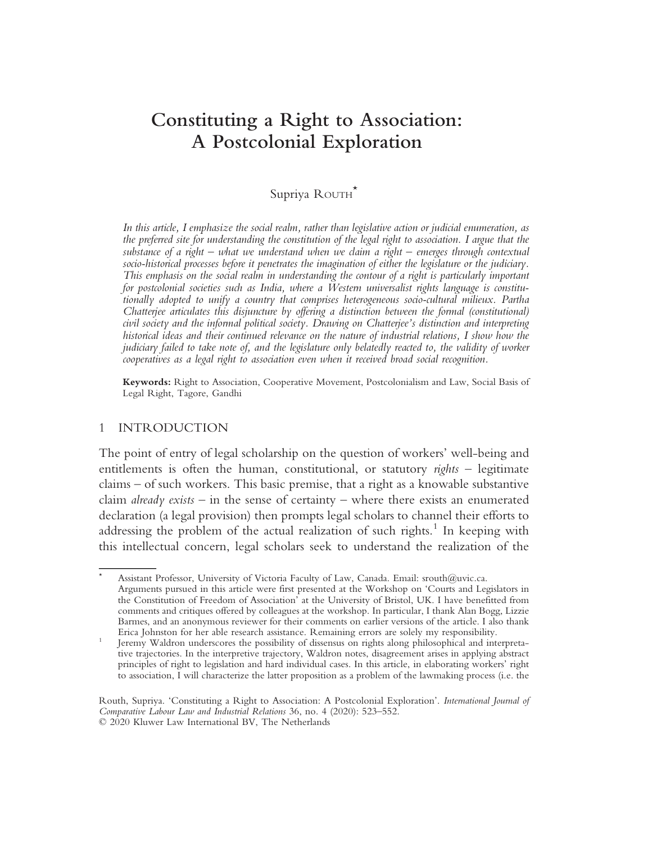# Constituting a Right to Association: A Postcolonial Exploration

# Supriya ROUTH\*

In this article, I emphasize the social realm, rather than legislative action or judicial enumeration, as the preferred site for understanding the constitution of the legal right to association. I argue that the substance of a right – what we understand when we claim a right – emerges through contextual socio-historical processes before it penetrates the imagination of either the legislature or the judiciary. This emphasis on the social realm in understanding the contour of a right is particularly important for postcolonial societies such as India, where a Western universalist rights language is constitutionally adopted to unify a country that comprises heterogeneous socio-cultural milieux. Partha Chatterjee articulates this disjuncture by offering a distinction between the formal (constitutional) civil society and the informal political society. Drawing on Chatterjee's distinction and interpreting historical ideas and their continued relevance on the nature of industrial relations, I show how the judiciary failed to take note of, and the legislature only belatedly reacted to, the validity of worker cooperatives as a legal right to association even when it received broad social recognition.

Keywords: Right to Association, Cooperative Movement, Postcolonialism and Law, Social Basis of Legal Right, Tagore, Gandhi

#### 1 INTRODUCTION

The point of entry of legal scholarship on the question of workers' well-being and entitlements is often the human, constitutional, or statutory  $rights -$  legitimate claims – of such workers. This basic premise, that a right as a knowable substantive claim *already exists* – in the sense of certainty – where there exists an enumerated declaration (a legal provision) then prompts legal scholars to channel their efforts to addressing the problem of the actual realization of such rights.<sup>1</sup> In keeping with this intellectual concern, legal scholars seek to understand the realization of the

Assistant Professor, University of Victoria Faculty of Law, Canada. Email: srouth@uvic.ca. Arguments pursued in this article were first presented at the Workshop on 'Courts and Legislators in the Constitution of Freedom of Association' at the University of Bristol, UK. I have benefitted from comments and critiques offered by colleagues at the workshop. In particular, I thank Alan Bogg, Lizzie Barmes, and an anonymous reviewer for their comments on earlier versions of the article. I also thank<br>Erica Johnston for her able research assistance. Remaining errors are solely my responsibility.

Jeremy Waldron underscores the possibility of dissensus on rights along philosophical and interpretative trajectories. In the interpretive trajectory, Waldron notes, disagreement arises in applying abstract principles of right to legislation and hard individual cases. In this article, in elaborating workers' right to association, I will characterize the latter proposition as a problem of the lawmaking process (i.e. the

Routh, Supriya. 'Constituting a Right to Association: A Postcolonial Exploration'. International Journal of Comparative Labour Law and Industrial Relations 36, no. 4 (2020): 523–552. © 2020 Kluwer Law International BV, The Netherlands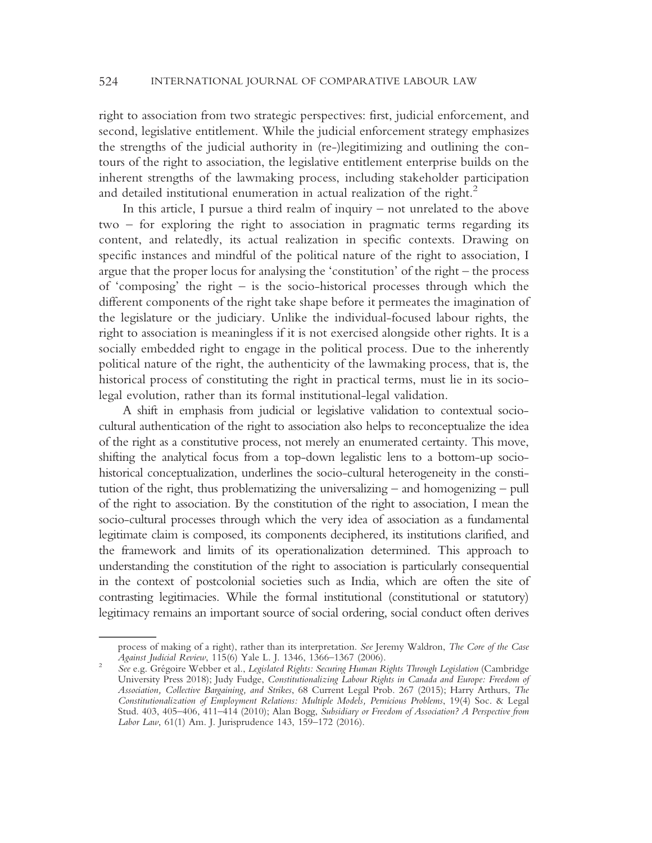right to association from two strategic perspectives: first, judicial enforcement, and second, legislative entitlement. While the judicial enforcement strategy emphasizes the strengths of the judicial authority in (re-)legitimizing and outlining the contours of the right to association, the legislative entitlement enterprise builds on the inherent strengths of the lawmaking process, including stakeholder participation and detailed institutional enumeration in actual realization of the right.<sup>2</sup>

In this article, I pursue a third realm of inquiry – not unrelated to the above two – for exploring the right to association in pragmatic terms regarding its content, and relatedly, its actual realization in specific contexts. Drawing on specific instances and mindful of the political nature of the right to association, I argue that the proper locus for analysing the 'constitution' of the right – the process of 'composing' the right – is the socio-historical processes through which the different components of the right take shape before it permeates the imagination of the legislature or the judiciary. Unlike the individual-focused labour rights, the right to association is meaningless if it is not exercised alongside other rights. It is a socially embedded right to engage in the political process. Due to the inherently political nature of the right, the authenticity of the lawmaking process, that is, the historical process of constituting the right in practical terms, must lie in its sociolegal evolution, rather than its formal institutional-legal validation.

A shift in emphasis from judicial or legislative validation to contextual sociocultural authentication of the right to association also helps to reconceptualize the idea of the right as a constitutive process, not merely an enumerated certainty. This move, shifting the analytical focus from a top-down legalistic lens to a bottom-up sociohistorical conceptualization, underlines the socio-cultural heterogeneity in the constitution of the right, thus problematizing the universalizing – and homogenizing – pull of the right to association. By the constitution of the right to association, I mean the socio-cultural processes through which the very idea of association as a fundamental legitimate claim is composed, its components deciphered, its institutions clarified, and the framework and limits of its operationalization determined. This approach to understanding the constitution of the right to association is particularly consequential in the context of postcolonial societies such as India, which are often the site of contrasting legitimacies. While the formal institutional (constitutional or statutory) legitimacy remains an important source of social ordering, social conduct often derives

process of making of a right), rather than its interpretation. See Jeremy Waldron, The Core of the Case Against Judicial Review, 115(6) Yale L. J. 1346, 1366–1367 (2006).

See e.g. Grégoire Webber et al., Legislated Rights: Securing Human Rights Through Legislation (Cambridge University Press 2018); Judy Fudge, Constitutionalizing Labour Rights in Canada and Europe: Freedom of Association, Collective Bargaining, and Strikes, 68 Current Legal Prob. 267 (2015); Harry Arthurs, The Constitutionalization of Employment Relations: Multiple Models, Pernicious Problems, 19(4) Soc. & Legal Stud. 403, 405–406, 411–414 (2010); Alan Bogg, Subsidiary or Freedom of Association? A Perspective from Labor Law, 61(1) Am. J. Jurisprudence 143, 159–172 (2016).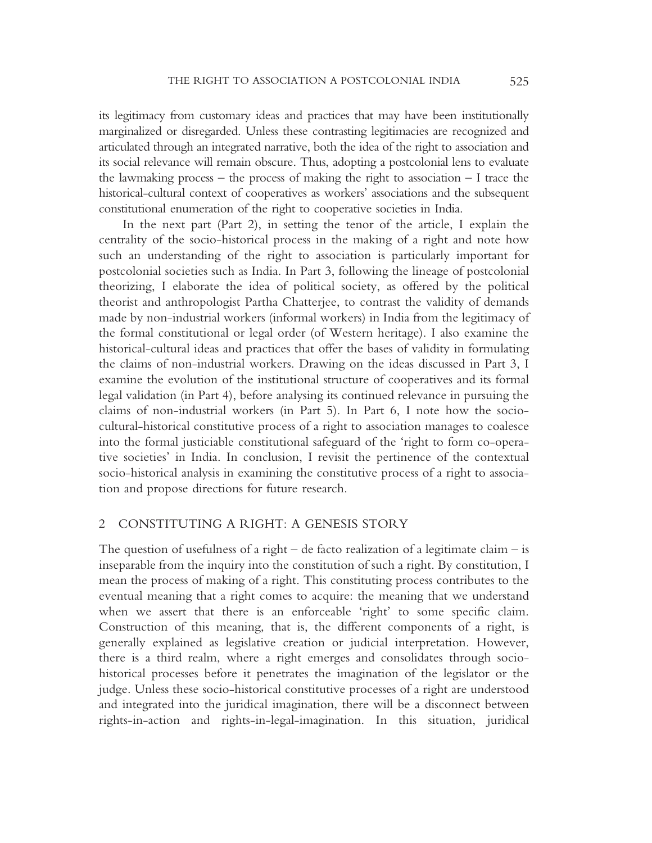its legitimacy from customary ideas and practices that may have been institutionally marginalized or disregarded. Unless these contrasting legitimacies are recognized and articulated through an integrated narrative, both the idea of the right to association and its social relevance will remain obscure. Thus, adopting a postcolonial lens to evaluate the lawmaking process – the process of making the right to association  $-1$  trace the historical-cultural context of cooperatives as workers' associations and the subsequent constitutional enumeration of the right to cooperative societies in India.

In the next part (Part 2), in setting the tenor of the article, I explain the centrality of the socio-historical process in the making of a right and note how such an understanding of the right to association is particularly important for postcolonial societies such as India. In Part 3, following the lineage of postcolonial theorizing, I elaborate the idea of political society, as offered by the political theorist and anthropologist Partha Chatterjee, to contrast the validity of demands made by non-industrial workers (informal workers) in India from the legitimacy of the formal constitutional or legal order (of Western heritage). I also examine the historical-cultural ideas and practices that offer the bases of validity in formulating the claims of non-industrial workers. Drawing on the ideas discussed in Part 3, I examine the evolution of the institutional structure of cooperatives and its formal legal validation (in Part 4), before analysing its continued relevance in pursuing the claims of non-industrial workers (in Part 5). In Part 6, I note how the sociocultural-historical constitutive process of a right to association manages to coalesce into the formal justiciable constitutional safeguard of the 'right to form co-operative societies' in India. In conclusion, I revisit the pertinence of the contextual socio-historical analysis in examining the constitutive process of a right to association and propose directions for future research.

### 2 CONSTITUTING A RIGHT: A GENESIS STORY

The question of usefulness of a right – de facto realization of a legitimate claim – is inseparable from the inquiry into the constitution of such a right. By constitution, I mean the process of making of a right. This constituting process contributes to the eventual meaning that a right comes to acquire: the meaning that we understand when we assert that there is an enforceable 'right' to some specific claim. Construction of this meaning, that is, the different components of a right, is generally explained as legislative creation or judicial interpretation. However, there is a third realm, where a right emerges and consolidates through sociohistorical processes before it penetrates the imagination of the legislator or the judge. Unless these socio-historical constitutive processes of a right are understood and integrated into the juridical imagination, there will be a disconnect between rights-in-action and rights-in-legal-imagination. In this situation, juridical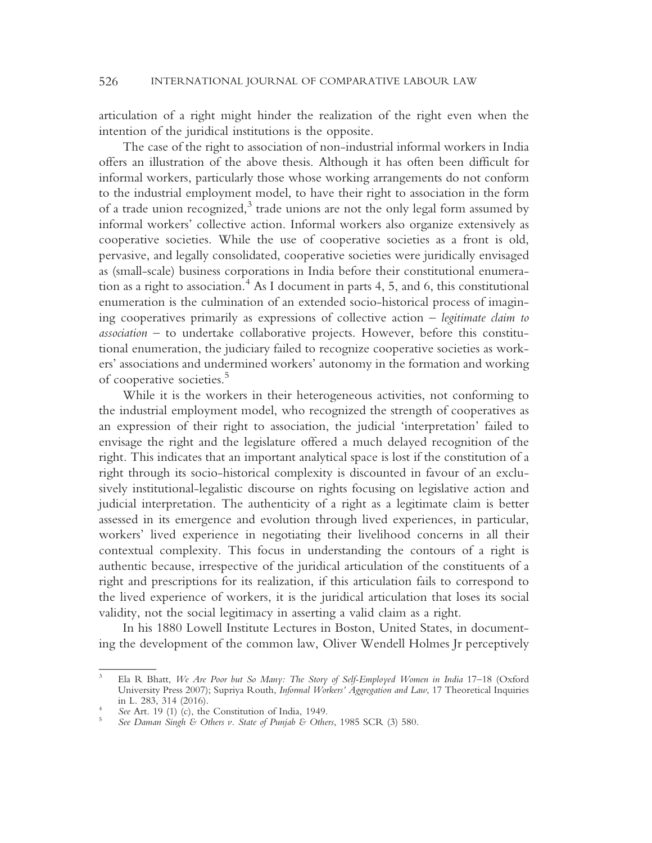articulation of a right might hinder the realization of the right even when the intention of the juridical institutions is the opposite.

The case of the right to association of non-industrial informal workers in India offers an illustration of the above thesis. Although it has often been difficult for informal workers, particularly those whose working arrangements do not conform to the industrial employment model, to have their right to association in the form of a trade union recognized, $3$  trade unions are not the only legal form assumed by informal workers' collective action. Informal workers also organize extensively as cooperative societies. While the use of cooperative societies as a front is old, pervasive, and legally consolidated, cooperative societies were juridically envisaged as (small-scale) business corporations in India before their constitutional enumeration as a right to association.<sup>4</sup> As I document in parts 4, 5, and 6, this constitutional enumeration is the culmination of an extended socio-historical process of imagining cooperatives primarily as expressions of collective action – legitimate claim to association – to undertake collaborative projects. However, before this constitutional enumeration, the judiciary failed to recognize cooperative societies as workers' associations and undermined workers' autonomy in the formation and working of cooperative societies.<sup>5</sup>

While it is the workers in their heterogeneous activities, not conforming to the industrial employment model, who recognized the strength of cooperatives as an expression of their right to association, the judicial 'interpretation' failed to envisage the right and the legislature offered a much delayed recognition of the right. This indicates that an important analytical space is lost if the constitution of a right through its socio-historical complexity is discounted in favour of an exclusively institutional-legalistic discourse on rights focusing on legislative action and judicial interpretation. The authenticity of a right as a legitimate claim is better assessed in its emergence and evolution through lived experiences, in particular, workers' lived experience in negotiating their livelihood concerns in all their contextual complexity. This focus in understanding the contours of a right is authentic because, irrespective of the juridical articulation of the constituents of a right and prescriptions for its realization, if this articulation fails to correspond to the lived experience of workers, it is the juridical articulation that loses its social validity, not the social legitimacy in asserting a valid claim as a right.

In his 1880 Lowell Institute Lectures in Boston, United States, in documenting the development of the common law, Oliver Wendell Holmes Jr perceptively

<sup>&</sup>lt;sup>3</sup> Ela R Bhatt, We Are Poor but So Many: The Story of Self-Employed Women in India 17-18 (Oxford University Press 2007); Supriya Routh, *Informal Workers' Aggregation and Law*, 17 Theoretical Inquiries in L. 283, 314 (2016).

See Art. 19 (1) (c), the Constitution of India, 1949.<br>See Daman Singh & Others v. State of Punjab & Others, 1985 SCR (3) 580.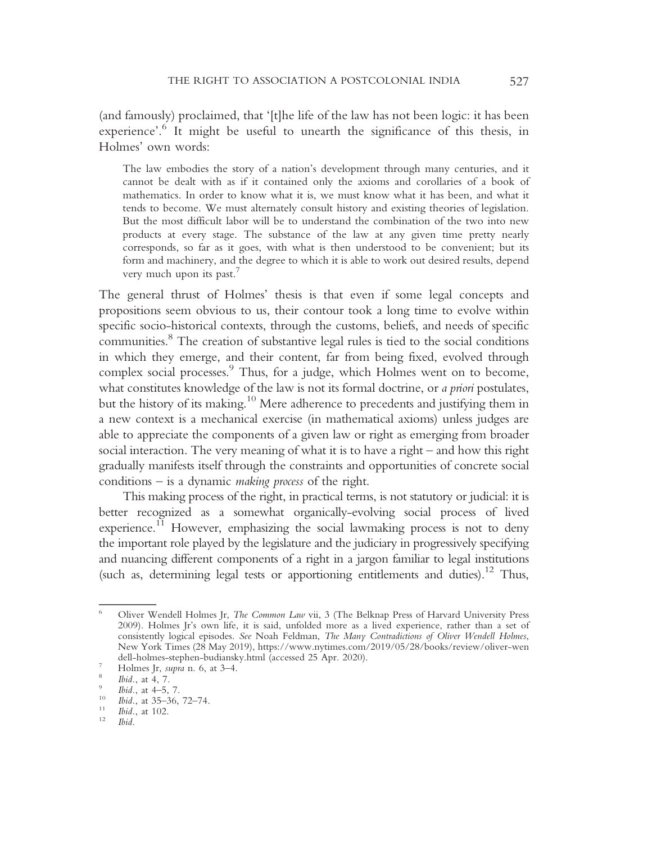(and famously) proclaimed, that '[t]he life of the law has not been logic: it has been experience'.<sup>6</sup> It might be useful to unearth the significance of this thesis, in Holmes' own words:

The law embodies the story of a nation's development through many centuries, and it cannot be dealt with as if it contained only the axioms and corollaries of a book of mathematics. In order to know what it is, we must know what it has been, and what it tends to become. We must alternately consult history and existing theories of legislation. But the most difficult labor will be to understand the combination of the two into new products at every stage. The substance of the law at any given time pretty nearly corresponds, so far as it goes, with what is then understood to be convenient; but its form and machinery, and the degree to which it is able to work out desired results, depend very much upon its past.<sup>7</sup>

The general thrust of Holmes' thesis is that even if some legal concepts and propositions seem obvious to us, their contour took a long time to evolve within specific socio-historical contexts, through the customs, beliefs, and needs of specific communities.8 The creation of substantive legal rules is tied to the social conditions in which they emerge, and their content, far from being fixed, evolved through complex social processes.<sup>9</sup> Thus, for a judge, which Holmes went on to become, what constitutes knowledge of the law is not its formal doctrine, or *a priori* postulates, but the history of its making.<sup>10</sup> Mere adherence to precedents and justifying them in a new context is a mechanical exercise (in mathematical axioms) unless judges are able to appreciate the components of a given law or right as emerging from broader social interaction. The very meaning of what it is to have a right – and how this right gradually manifests itself through the constraints and opportunities of concrete social conditions – is a dynamic making process of the right.

This making process of the right, in practical terms, is not statutory or judicial: it is better recognized as a somewhat organically-evolving social process of lived experience.<sup>11</sup> However, emphasizing the social lawmaking process is not to deny the important role played by the legislature and the judiciary in progressively specifying and nuancing different components of a right in a jargon familiar to legal institutions (such as, determining legal tests or apportioning entitlements and duties).<sup>12</sup> Thus,

<sup>6</sup> Oliver Wendell Holmes Jr, The Common Law vii, 3 (The Belknap Press of Harvard University Press 2009). Holmes Jr's own life, it is said, unfolded more as a lived experience, rather than a set of consistently logical episodes. See Noah Feldman, The Many Contradictions of Oliver Wendell Holmes, New York Times (28 May 2019), https://www.nytimes.com/2019/05/28/books/review/oliver-wen dell-holmes-stephen-budiansky.html (accessed 25 Apr. 2020).<br>
7 Holmes Jr, *supra* n. 6, at 3–4.<br>
<sup>8</sup> Ibid., at 4, 7.<br>
<sup>9</sup> Ibid., at 4–5, 7.<br>
<sup>10</sup> Ibid., at 35–36, 72–74.<br>
<sup>11</sup> Ibid., at 102.<br>
<sup>12</sup> Ibid.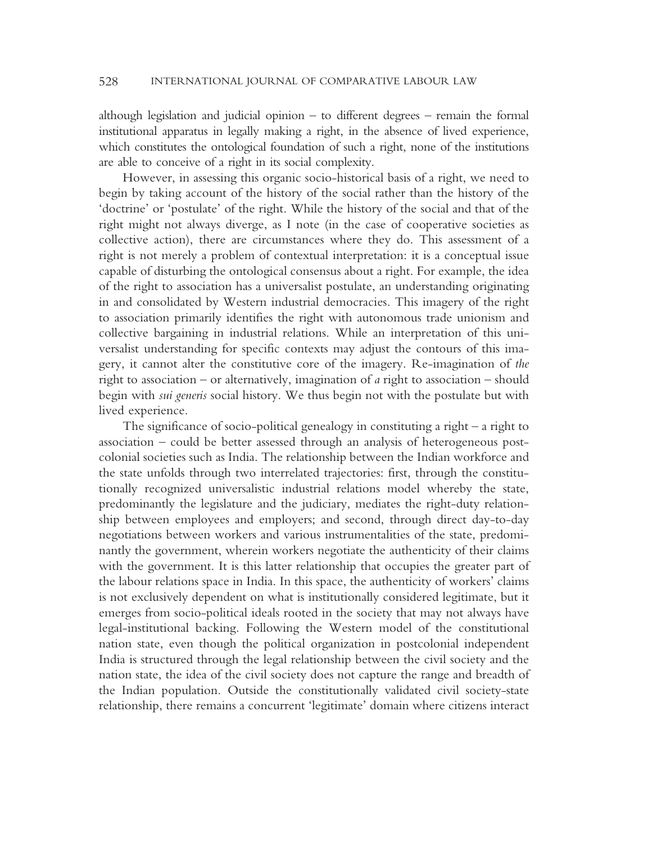although legislation and judicial opinion – to different degrees – remain the formal institutional apparatus in legally making a right, in the absence of lived experience, which constitutes the ontological foundation of such a right, none of the institutions are able to conceive of a right in its social complexity.

However, in assessing this organic socio-historical basis of a right, we need to begin by taking account of the history of the social rather than the history of the 'doctrine' or 'postulate' of the right. While the history of the social and that of the right might not always diverge, as I note (in the case of cooperative societies as collective action), there are circumstances where they do. This assessment of a right is not merely a problem of contextual interpretation: it is a conceptual issue capable of disturbing the ontological consensus about a right. For example, the idea of the right to association has a universalist postulate, an understanding originating in and consolidated by Western industrial democracies. This imagery of the right to association primarily identifies the right with autonomous trade unionism and collective bargaining in industrial relations. While an interpretation of this universalist understanding for specific contexts may adjust the contours of this imagery, it cannot alter the constitutive core of the imagery. Re-imagination of the right to association – or alternatively, imagination of a right to association – should begin with sui generis social history. We thus begin not with the postulate but with lived experience.

The significance of socio-political genealogy in constituting a right – a right to association – could be better assessed through an analysis of heterogeneous postcolonial societies such as India. The relationship between the Indian workforce and the state unfolds through two interrelated trajectories: first, through the constitutionally recognized universalistic industrial relations model whereby the state, predominantly the legislature and the judiciary, mediates the right-duty relationship between employees and employers; and second, through direct day-to-day negotiations between workers and various instrumentalities of the state, predominantly the government, wherein workers negotiate the authenticity of their claims with the government. It is this latter relationship that occupies the greater part of the labour relations space in India. In this space, the authenticity of workers' claims is not exclusively dependent on what is institutionally considered legitimate, but it emerges from socio-political ideals rooted in the society that may not always have legal-institutional backing. Following the Western model of the constitutional nation state, even though the political organization in postcolonial independent India is structured through the legal relationship between the civil society and the nation state, the idea of the civil society does not capture the range and breadth of the Indian population. Outside the constitutionally validated civil society-state relationship, there remains a concurrent 'legitimate' domain where citizens interact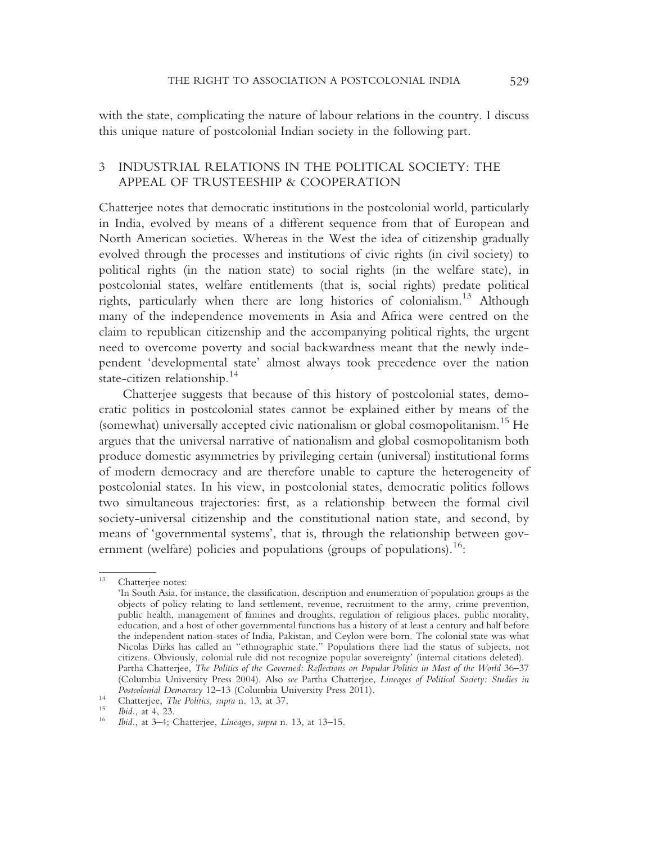with the state, complicating the nature of labour relations in the country. I discuss this unique nature of postcolonial Indian society in the following part.

# 3 INDUSTRIAL RELATIONS IN THE POLITICAL SOCIETY: THE APPEAL OF TRUSTEESHIP & COOPERATION

Chatterjee notes that democratic institutions in the postcolonial world, particularly in India, evolved by means of a different sequence from that of European and North American societies. Whereas in the West the idea of citizenship gradually evolved through the processes and institutions of civic rights (in civil society) to political rights (in the nation state) to social rights (in the welfare state), in postcolonial states, welfare entitlements (that is, social rights) predate political rights, particularly when there are long histories of colonialism.13 Although many of the independence movements in Asia and Africa were centred on the claim to republican citizenship and the accompanying political rights, the urgent need to overcome poverty and social backwardness meant that the newly independent 'developmental state' almost always took precedence over the nation state-citizen relationship.<sup>14</sup>

Chatterjee suggests that because of this history of postcolonial states, democratic politics in postcolonial states cannot be explained either by means of the (somewhat) universally accepted civic nationalism or global cosmopolitanism.<sup>15</sup> He argues that the universal narrative of nationalism and global cosmopolitanism both produce domestic asymmetries by privileging certain (universal) institutional forms of modern democracy and are therefore unable to capture the heterogeneity of postcolonial states. In his view, in postcolonial states, democratic politics follows two simultaneous trajectories: first, as a relationship between the formal civil society-universal citizenship and the constitutional nation state, and second, by means of 'governmental systems', that is, through the relationship between government (welfare) policies and populations (groups of populations).<sup>16</sup>:

Chatteriee notes:

<sup>&#</sup>x27;In South Asia, for instance, the classification, description and enumeration of population groups as the objects of policy relating to land settlement, revenue, recruitment to the army, crime prevention, public health, management of famines and droughts, regulation of religious places, public morality, education, and a host of other governmental functions has a history of at least a century and half before the independent nation-states of India, Pakistan, and Ceylon were born. The colonial state was what Nicolas Dirks has called an "ethnographic state." Populations there had the status of subjects, not citizens. Obviously, colonial rule did not recognize popular sovereignty' (internal citations deleted). Partha Chatterjee, The Politics of the Governed: Reflections on Popular Politics in Most of the World 36–37 (Columbia University Press 2004). Also see Partha Chatterjee, Lineages of Political Society: Studies in Postcolonial Democracy 12–13 (Columbia University Press 2011).

Postcolonial Democracy 14 (Chatterjee, The Politics, supra n. 13, at 37.<br>
15 Ibid., at 4, 23. 16 Ibid., at 3–4; Chatterjee, Lineages, supra n. 13, at 13–15.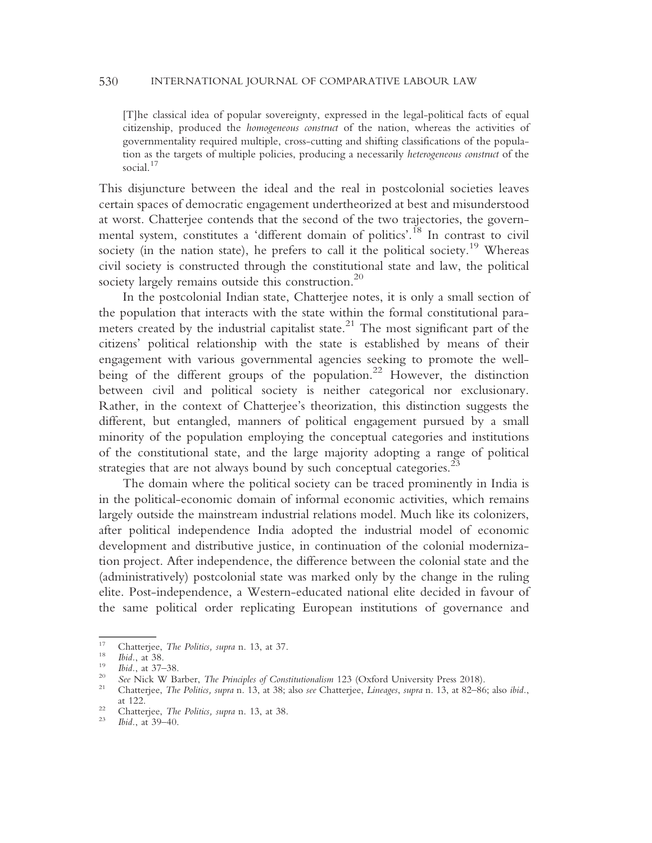[T]he classical idea of popular sovereignty, expressed in the legal-political facts of equal citizenship, produced the homogeneous construct of the nation, whereas the activities of governmentality required multiple, cross-cutting and shifting classifications of the population as the targets of multiple policies, producing a necessarily heterogeneous construct of the social.<sup>17</sup>

This disjuncture between the ideal and the real in postcolonial societies leaves certain spaces of democratic engagement undertheorized at best and misunderstood at worst. Chatterjee contends that the second of the two trajectories, the governmental system, constitutes a 'different domain of politics'.<sup>18</sup> In contrast to civil society (in the nation state), he prefers to call it the political society.<sup>19</sup> Whereas civil society is constructed through the constitutional state and law, the political society largely remains outside this construction.<sup>20</sup>

In the postcolonial Indian state, Chatterjee notes, it is only a small section of the population that interacts with the state within the formal constitutional parameters created by the industrial capitalist state.<sup>21</sup> The most significant part of the citizens' political relationship with the state is established by means of their engagement with various governmental agencies seeking to promote the wellbeing of the different groups of the population.<sup>22</sup> However, the distinction between civil and political society is neither categorical nor exclusionary. Rather, in the context of Chatterjee's theorization, this distinction suggests the different, but entangled, manners of political engagement pursued by a small minority of the population employing the conceptual categories and institutions of the constitutional state, and the large majority adopting a range of political strategies that are not always bound by such conceptual categories.<sup>23</sup>

The domain where the political society can be traced prominently in India is in the political-economic domain of informal economic activities, which remains largely outside the mainstream industrial relations model. Much like its colonizers, after political independence India adopted the industrial model of economic development and distributive justice, in continuation of the colonial modernization project. After independence, the difference between the colonial state and the (administratively) postcolonial state was marked only by the change in the ruling elite. Post-independence, a Western-educated national elite decided in favour of the same political order replicating European institutions of governance and

<sup>&</sup>lt;sup>17</sup> Chatterjee, *The Politics, supra* n. 13, at 37.<br>
<sup>18</sup> *Ibid.*, at 38.<br>
<sup>19</sup> *Ibid.*, at 37–38.<br>
<sup>20</sup> *See* Nick W Barber, *The Principles of Constitutionalism* 123 (Oxford University Press 2018).<br>
<sup>21</sup> Chatterjee, *T* 

<sup>&</sup>lt;sup>22</sup> Chatterjee, *The Politics, supra* n. 13, at 38.<br><sup>23</sup> *Ibid.*, at 39–40.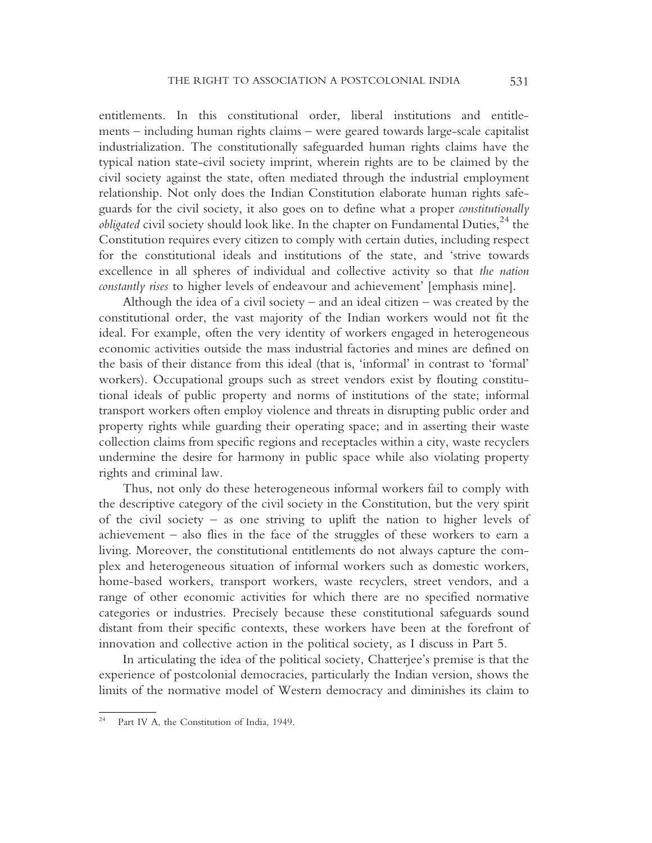entitlements. In this constitutional order, liberal institutions and entitlements – including human rights claims – were geared towards large-scale capitalist industrialization. The constitutionally safeguarded human rights claims have the typical nation state-civil society imprint, wherein rights are to be claimed by the civil society against the state, often mediated through the industrial employment relationship. Not only does the Indian Constitution elaborate human rights safeguards for the civil society, it also goes on to define what a proper constitutionally *obligated* civil society should look like. In the chapter on Fundamental Duties,  $^{24}$  the Constitution requires every citizen to comply with certain duties, including respect for the constitutional ideals and institutions of the state, and 'strive towards excellence in all spheres of individual and collective activity so that the nation constantly rises to higher levels of endeavour and achievement' [emphasis mine].

Although the idea of a civil society – and an ideal citizen – was created by the constitutional order, the vast majority of the Indian workers would not fit the ideal. For example, often the very identity of workers engaged in heterogeneous economic activities outside the mass industrial factories and mines are defined on the basis of their distance from this ideal (that is, 'informal' in contrast to 'formal' workers). Occupational groups such as street vendors exist by flouting constitutional ideals of public property and norms of institutions of the state; informal transport workers often employ violence and threats in disrupting public order and property rights while guarding their operating space; and in asserting their waste collection claims from specific regions and receptacles within a city, waste recyclers undermine the desire for harmony in public space while also violating property rights and criminal law.

Thus, not only do these heterogeneous informal workers fail to comply with the descriptive category of the civil society in the Constitution, but the very spirit of the civil society – as one striving to uplift the nation to higher levels of achievement – also flies in the face of the struggles of these workers to earn a living. Moreover, the constitutional entitlements do not always capture the complex and heterogeneous situation of informal workers such as domestic workers, home-based workers, transport workers, waste recyclers, street vendors, and a range of other economic activities for which there are no specified normative categories or industries. Precisely because these constitutional safeguards sound distant from their specific contexts, these workers have been at the forefront of innovation and collective action in the political society, as I discuss in Part 5.

In articulating the idea of the political society, Chatterjee's premise is that the experience of postcolonial democracies, particularly the Indian version, shows the limits of the normative model of Western democracy and diminishes its claim to

Part IV A, the Constitution of India, 1949.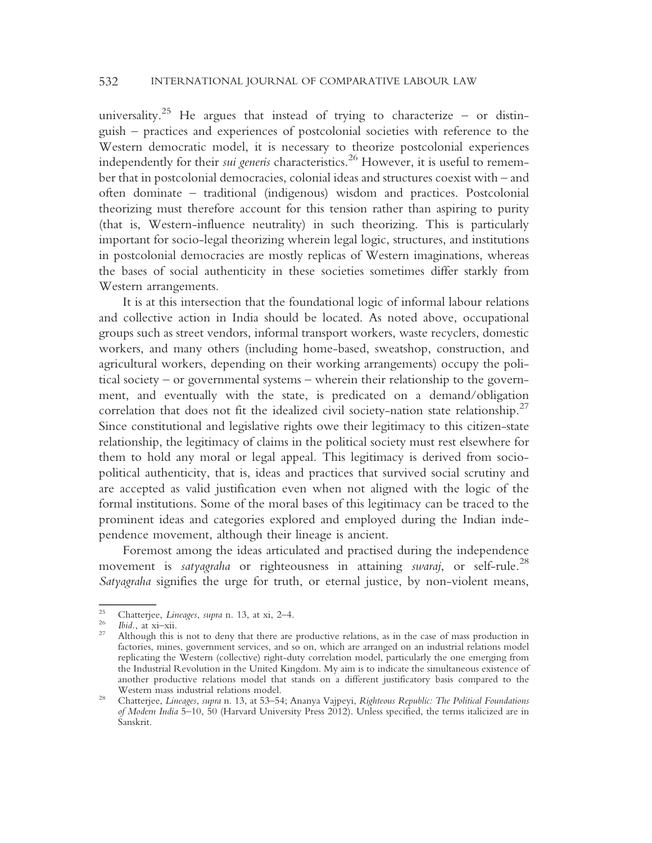universality.<sup>25</sup> He argues that instead of trying to characterize – or distinguish – practices and experiences of postcolonial societies with reference to the Western democratic model, it is necessary to theorize postcolonial experiences independently for their *sui generis* characteristics.<sup>26</sup> However, it is useful to remember that in postcolonial democracies, colonial ideas and structures coexist with – and often dominate – traditional (indigenous) wisdom and practices. Postcolonial theorizing must therefore account for this tension rather than aspiring to purity (that is, Western-influence neutrality) in such theorizing. This is particularly important for socio-legal theorizing wherein legal logic, structures, and institutions in postcolonial democracies are mostly replicas of Western imaginations, whereas the bases of social authenticity in these societies sometimes differ starkly from Western arrangements.

It is at this intersection that the foundational logic of informal labour relations and collective action in India should be located. As noted above, occupational groups such as street vendors, informal transport workers, waste recyclers, domestic workers, and many others (including home-based, sweatshop, construction, and agricultural workers, depending on their working arrangements) occupy the political society – or governmental systems – wherein their relationship to the government, and eventually with the state, is predicated on a demand/obligation correlation that does not fit the idealized civil society-nation state relationship.<sup>27</sup> Since constitutional and legislative rights owe their legitimacy to this citizen-state relationship, the legitimacy of claims in the political society must rest elsewhere for them to hold any moral or legal appeal. This legitimacy is derived from sociopolitical authenticity, that is, ideas and practices that survived social scrutiny and are accepted as valid justification even when not aligned with the logic of the formal institutions. Some of the moral bases of this legitimacy can be traced to the prominent ideas and categories explored and employed during the Indian independence movement, although their lineage is ancient.

Foremost among the ideas articulated and practised during the independence movement is satyagraha or righteousness in attaining swaraj, or self-rule.<sup>28</sup> Satyagraha signifies the urge for truth, or eternal justice, by non-violent means,

<sup>25</sup> Chatterjee, *Lineages*, *supra* n. 13, at xi, 2–4.<br>
<sup>26</sup> Ibid., at xi–xii.<br>
<sup>27</sup> Although this is not to deny that there are productive relations, as in the case of mass production in factories, mines, government services, and so on, which are arranged on an industrial relations model replicating the Western (collective) right-duty correlation model, particularly the one emerging from the Industrial Revolution in the United Kingdom. My aim is to indicate the simultaneous existence of another productive relations model that stands on a different justificatory basis compared to the

<sup>&</sup>lt;sup>28</sup> Chatterjee, *Lineages, supra* n. 13, at 53–54; Ananya Vajpeyi, Righteous Republic: The Political Foundations of Modern India 5–10, 50 (Harvard University Press 2012). Unless specified, the terms italicized are in Sanskrit.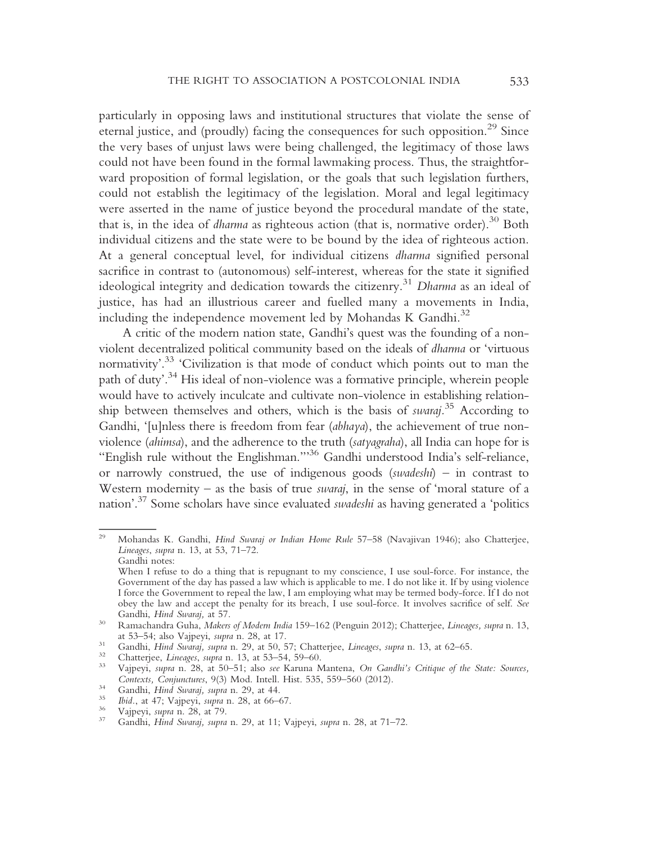particularly in opposing laws and institutional structures that violate the sense of eternal justice, and (proudly) facing the consequences for such opposition.29 Since the very bases of unjust laws were being challenged, the legitimacy of those laws could not have been found in the formal lawmaking process. Thus, the straightforward proposition of formal legislation, or the goals that such legislation furthers, could not establish the legitimacy of the legislation. Moral and legal legitimacy were asserted in the name of justice beyond the procedural mandate of the state, that is, in the idea of *dharma* as righteous action (that is, normative order).<sup>30</sup> Both individual citizens and the state were to be bound by the idea of righteous action. At a general conceptual level, for individual citizens dharma signified personal sacrifice in contrast to (autonomous) self-interest, whereas for the state it signified ideological integrity and dedication towards the citizenry.<sup>31</sup> Dharma as an ideal of justice, has had an illustrious career and fuelled many a movements in India, including the independence movement led by Mohandas K Gandhi.<sup>32</sup>

A critic of the modern nation state, Gandhi's quest was the founding of a nonviolent decentralized political community based on the ideals of dharma or 'virtuous normativity'. <sup>33</sup> 'Civilization is that mode of conduct which points out to man the path of duty'. <sup>34</sup> His ideal of non-violence was a formative principle, wherein people would have to actively inculcate and cultivate non-violence in establishing relationship between themselves and others, which is the basis of *swaraj*.<sup>35</sup> According to Gandhi, '[u]nless there is freedom from fear (abhaya), the achievement of true nonviolence (ahimsa), and the adherence to the truth (satyagraha), all India can hope for is "English rule without the Englishman."'<sup>36</sup> Gandhi understood India's self-reliance, or narrowly construed, the use of indigenous goods (swadeshi) – in contrast to Western modernity – as the basis of true *swaraj*, in the sense of 'moral stature of a nation'. <sup>37</sup> Some scholars have since evaluated swadeshi as having generated a 'politics

<sup>&</sup>lt;sup>29</sup> Mohandas K. Gandhi, *Hind Swaraj or Indian Home Rule* 57–58 (Navajivan 1946); also Chatterjee, Lineages, supra n. 13, at 53, 71–72. Gandhi notes:

When I refuse to do a thing that is repugnant to my conscience, I use soul-force. For instance, the Government of the day has passed a law which is applicable to me. I do not like it. If by using violence I force the Government to repeal the law, I am employing what may be termed body-force. If I do not obey the law and accept the penalty for its breach, I use soul-force. It involves sacrifice of self. See

Gandhi, *Hind Swaraj*, at 57.<br><sup>30</sup> Ramachandra Guha, *Makers of Modern India* 159–162 (Penguin 2012); Chatterjee, *Lineages, supra* n. 13, at 53–54; also Vajpeyi, *supra* n. 28, at 17.

<sup>31</sup> Gandhi, *Hind Swaraj*, *supra* n. 29, at 50, 57; Chatterjee, *Lineages*, *supra* n. 13, at 62–65.<br>
<sup>32</sup> Chatterjee, *Lineages*, *supra* n. 13, at 53–54, 59–60.<br>
<sup>33</sup> Vajpeyi, *supra* n. 28, at 50–51; also *see* Karuna M

<sup>34&</sup>lt;br>
Gandhi, *Hind Swaraj*, *supra* n. 29, at 44.<br>
35<br> *Ibid.*, at 47; Vajpeyi, *supra* n. 28, at 66–67.<br>
36<br>
Vajpeyi, *supra* n. 28, at 79.<br>
Gandhi, *Hind Swaraj*, *supra* n. 29, at 11; Vajpeyi, *supra* n. 28, at 71–72.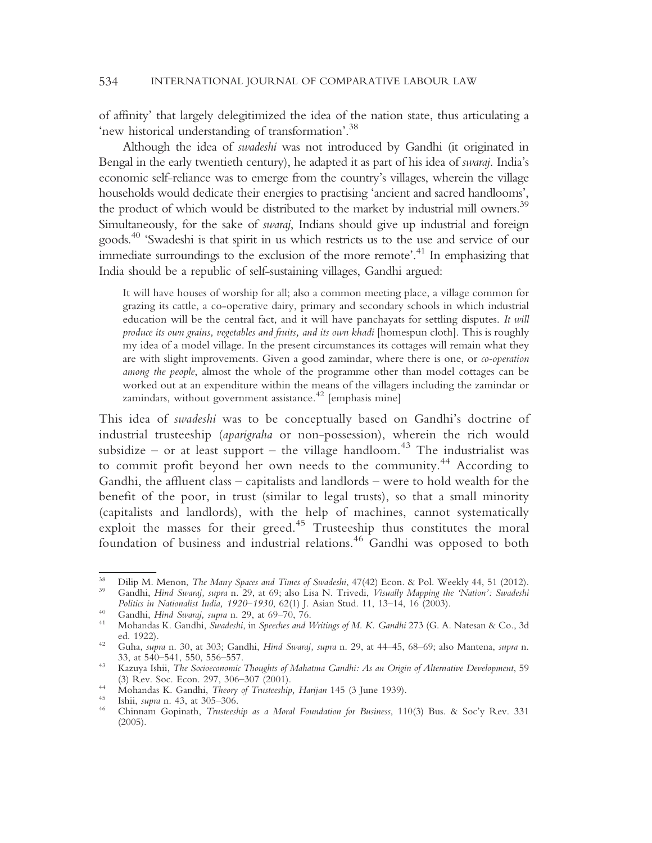of affinity' that largely delegitimized the idea of the nation state, thus articulating a 'new historical understanding of transformation'. 38

Although the idea of swadeshi was not introduced by Gandhi (it originated in Bengal in the early twentieth century), he adapted it as part of his idea of *swaraj*. India's economic self-reliance was to emerge from the country's villages, wherein the village households would dedicate their energies to practising 'ancient and sacred handlooms', the product of which would be distributed to the market by industrial mill owners.<sup>39</sup> Simultaneously, for the sake of swaraj, Indians should give up industrial and foreign goods.40 'Swadeshi is that spirit in us which restricts us to the use and service of our immediate surroundings to the exclusion of the more remote'.<sup>41</sup> In emphasizing that India should be a republic of self-sustaining villages, Gandhi argued:

It will have houses of worship for all; also a common meeting place, a village common for grazing its cattle, a co-operative dairy, primary and secondary schools in which industrial education will be the central fact, and it will have panchayats for settling disputes. It will produce its own grains, vegetables and fruits, and its own khadi [homespun cloth]. This is roughly my idea of a model village. In the present circumstances its cottages will remain what they are with slight improvements. Given a good zamindar, where there is one, or co-operation among the people, almost the whole of the programme other than model cottages can be worked out at an expenditure within the means of the villagers including the zamindar or zamindars, without government assistance. $42$  [emphasis mine]

This idea of swadeshi was to be conceptually based on Gandhi's doctrine of industrial trusteeship (aparigraha or non-possession), wherein the rich would subsidize – or at least support – the village handloom.<sup>43</sup> The industrialist was to commit profit beyond her own needs to the community.<sup>44</sup> According to Gandhi, the affluent class – capitalists and landlords – were to hold wealth for the benefit of the poor, in trust (similar to legal trusts), so that a small minority (capitalists and landlords), with the help of machines, cannot systematically exploit the masses for their greed.<sup>45</sup> Trusteeship thus constitutes the moral foundation of business and industrial relations.<sup>46</sup> Gandhi was opposed to both

<sup>&</sup>lt;sup>38</sup> Dilip M. Menon, *The Many Spaces and Times of Swadeshi*, 47(42) Econ. & Pol. Weekly 44, 51 (2012).<br><sup>39</sup> Gandhi, *Hind Swaraj, supra n. 29, at 69; also Lisa N. Trivedi, <i>Visually Mapping the 'Nation': Swadeshi* 

Politics in Nationalist India, 1920–1930, 62(1) J. Asian Stud. 11, 13–14, 16 (2003).<br><sup>40</sup> Gandhi, *Hind Swaraj, supra* n. 29, at 69–70, 76.<br><sup>41</sup> Mohandas K. Gandhi, *Swadeshi*, in *Speeches and Writings of M. K. Gandhi* 27 ed. 1922). <sup>42</sup> Guha, supra n. 30, at 303; Gandhi, Hind Swaraj, supra n. 29, at 44–45, 68–69; also Mantena, supra n.

<sup>33,</sup> at 540–541, 550, 556–557.<br><sup>43</sup> Kazuya Ishii, *The Socioeconomic Thoughts of Mahatma Gandhi: As an Origin of Alternative Development*, 59

<sup>(3)</sup> Rev. Soc. Econ. 297, 306–307 (2001).<br>
<sup>44</sup> Mohandas K. Gandhi, *Theory of Trusteeship, Harijan* 145 (3 June 1939).<br>
<sup>45</sup> Ishii, *supra* n. 43, at 305–306.<br>
<sup>46</sup> Chinnam Gopinath, *Trusteeship as a Moral Foundation for* 

<sup>(2005).</sup>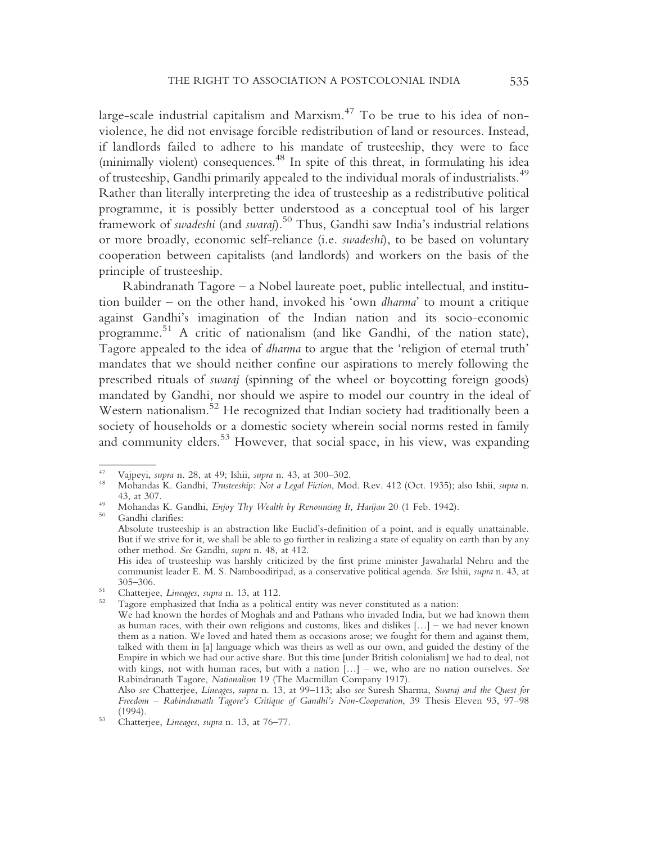large-scale industrial capitalism and Marxism.<sup>47</sup> To be true to his idea of nonviolence, he did not envisage forcible redistribution of land or resources. Instead, if landlords failed to adhere to his mandate of trusteeship, they were to face (minimally violent) consequences.<sup>48</sup> In spite of this threat, in formulating his idea of trusteeship, Gandhi primarily appealed to the individual morals of industrialists.<sup>49</sup> Rather than literally interpreting the idea of trusteeship as a redistributive political programme, it is possibly better understood as a conceptual tool of his larger framework of swadeshi (and swaraj).<sup>50</sup> Thus, Gandhi saw India's industrial relations or more broadly, economic self-reliance (i.e. swadeshi), to be based on voluntary cooperation between capitalists (and landlords) and workers on the basis of the principle of trusteeship.

Rabindranath Tagore – a Nobel laureate poet, public intellectual, and institution builder – on the other hand, invoked his 'own dharma' to mount a critique against Gandhi's imagination of the Indian nation and its socio-economic programme. <sup>51</sup> A critic of nationalism (and like Gandhi, of the nation state), Tagore appealed to the idea of dharma to argue that the 'religion of eternal truth' mandates that we should neither confine our aspirations to merely following the prescribed rituals of swaraj (spinning of the wheel or boycotting foreign goods) mandated by Gandhi, nor should we aspire to model our country in the ideal of Western nationalism.<sup>52</sup> He recognized that Indian society had traditionally been a society of households or a domestic society wherein social norms rested in family and community elders.<sup>53</sup> However, that social space, in his view, was expanding

<sup>&</sup>lt;sup>47</sup> Vajpeyi, *supra* n. 28, at 49; Ishii, *supra* n. 43, at 300–302.<br><sup>48</sup> Mohandas K. Gandhi, *Trusteeship: Not a Legal Fiction*, Mod. Rev. 412 (Oct. 1935); also Ishii, *supra* n.

<sup>43,</sup> at 307.<br>
49 Mohandas K. Gandhi, *Enjoy Thy Wealth by Renouncing It, Harijan* 20 (1 Feb. 1942).<br>
<sup>50</sup> Gandhi clarifies:

Absolute trusteeship is an abstraction like Euclid's-definition of a point, and is equally unattainable. But if we strive for it, we shall be able to go further in realizing a state of equality on earth than by any other method. See Gandhi, supra n. 48, at 412.

His idea of trusteeship was harshly criticized by the first prime minister Jawaharlal Nehru and the communist leader E. M. S. Namboodiripad, as a conservative political agenda. See Ishii, supra n. 43, at 305–306.<br>
<sup>51</sup> Chatterjee, *Lineages*, *supra* n. 13, at 112.<br>
<sup>52</sup> Tagore emphasized that India as a political entity was never constituted as a nation:

We had known the hordes of Moghals and and Pathans who invaded India, but we had known them as human races, with their own religions and customs, likes and dislikes […] – we had never known them as a nation. We loved and hated them as occasions arose; we fought for them and against them, talked with them in [a] language which was theirs as well as our own, and guided the destiny of the Empire in which we had our active share. But this time [under British colonialism] we had to deal, not with kings, not with human races, but with a nation [...] – we, who are no nation ourselves. See Rabindranath Tagore, Nationalism 19 (The Macmillan Company 1917).

Also see Chatterjee, Lineages, supra n. 13, at 99–113; also see Suresh Sharma, Swaraj and the Quest for Freedom – Rabindranath Tagore's Critique of Gandhi's Non-Cooperation, 39 Thesis Eleven 93, 97–98 (1994).<br>Chatterjee, Lineages, supra n. 13, at 76–77.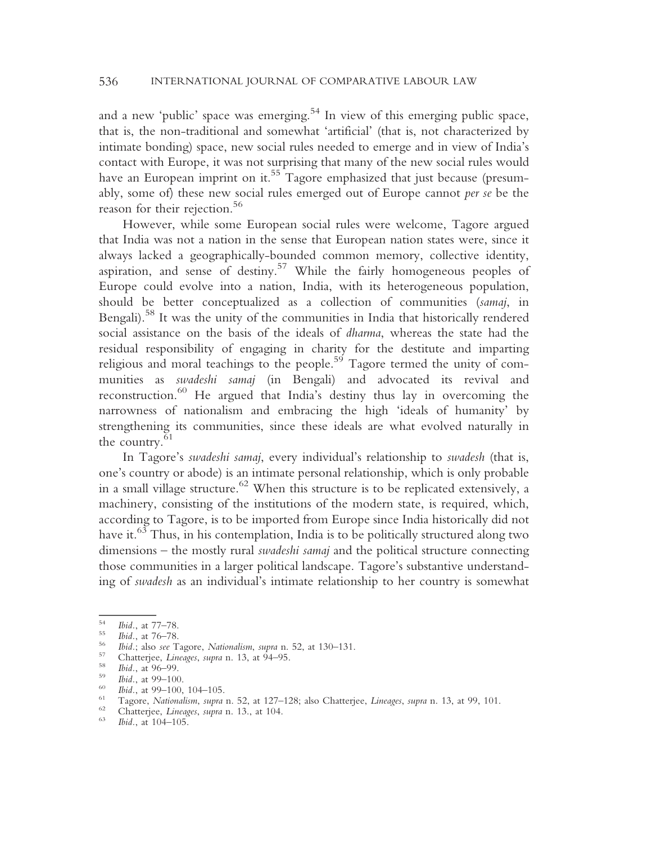and a new 'public' space was emerging.<sup>54</sup> In view of this emerging public space, that is, the non-traditional and somewhat 'artificial' (that is, not characterized by intimate bonding) space, new social rules needed to emerge and in view of India's contact with Europe, it was not surprising that many of the new social rules would have an European imprint on it.<sup>55</sup> Tagore emphasized that just because (presumably, some of) these new social rules emerged out of Europe cannot per se be the reason for their rejection.<sup>56</sup>

However, while some European social rules were welcome, Tagore argued that India was not a nation in the sense that European nation states were, since it always lacked a geographically-bounded common memory, collective identity, aspiration, and sense of destiny.<sup>57</sup> While the fairly homogeneous peoples of Europe could evolve into a nation, India, with its heterogeneous population, should be better conceptualized as a collection of communities (samaj, in Bengali).<sup>58</sup> It was the unity of the communities in India that historically rendered social assistance on the basis of the ideals of dharma, whereas the state had the residual responsibility of engaging in charity for the destitute and imparting religious and moral teachings to the people.<sup>59</sup> Tagore termed the unity of communities as swadeshi samaj (in Bengali) and advocated its revival and reconstruction.<sup>60</sup> He argued that India's destiny thus lay in overcoming the narrowness of nationalism and embracing the high 'ideals of humanity' by strengthening its communities, since these ideals are what evolved naturally in the country. $61$ 

In Tagore's swadeshi samaj, every individual's relationship to swadesh (that is, one's country or abode) is an intimate personal relationship, which is only probable in a small village structure. $62$  When this structure is to be replicated extensively, a machinery, consisting of the institutions of the modern state, is required, which, according to Tagore, is to be imported from Europe since India historically did not have it.<sup>63</sup> Thus, in his contemplation, India is to be politically structured along two dimensions – the mostly rural swadeshi samaj and the political structure connecting those communities in a larger political landscape. Tagore's substantive understanding of swadesh as an individual's intimate relationship to her country is somewhat

<sup>&</sup>lt;sup>54</sup> Ibid., at 77–78.<br>
<sup>55</sup> Ibid., at 76–78.<br>
<sup>56</sup> Ibid.; also *see* Tagore, *Nationalism*, *supra* n. 52, at 130–131.<br>
<sup>57</sup> Chatterjee, *Lineages*, *supra* n. 13, at 94–95.<br>
<sup>59</sup> Ibid., at 99–100.<br>
<sup>69</sup> Ibid., at 99–100,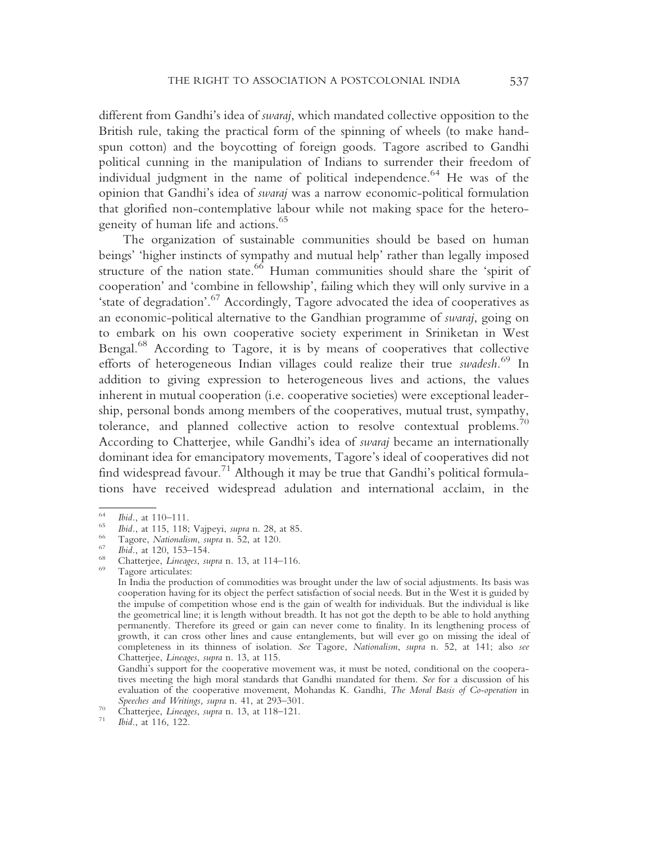different from Gandhi's idea of swaraj, which mandated collective opposition to the British rule, taking the practical form of the spinning of wheels (to make handspun cotton) and the boycotting of foreign goods. Tagore ascribed to Gandhi political cunning in the manipulation of Indians to surrender their freedom of individual judgment in the name of political independence.<sup>64</sup> He was of the opinion that Gandhi's idea of swaraj was a narrow economic-political formulation that glorified non-contemplative labour while not making space for the heterogeneity of human life and actions.<sup>65</sup>

The organization of sustainable communities should be based on human beings' 'higher instincts of sympathy and mutual help' rather than legally imposed structure of the nation state.  $\frac{66}{6}$  Human communities should share the 'spirit of cooperation' and 'combine in fellowship', failing which they will only survive in a 'state of degradation'. <sup>67</sup> Accordingly, Tagore advocated the idea of cooperatives as an economic-political alternative to the Gandhian programme of swaraj, going on to embark on his own cooperative society experiment in Sriniketan in West Bengal.68 According to Tagore, it is by means of cooperatives that collective efforts of heterogeneous Indian villages could realize their true swadesh.<sup>69</sup> In addition to giving expression to heterogeneous lives and actions, the values inherent in mutual cooperation (i.e. cooperative societies) were exceptional leadership, personal bonds among members of the cooperatives, mutual trust, sympathy, tolerance, and planned collective action to resolve contextual problems.<sup>70</sup> According to Chatterjee, while Gandhi's idea of swaraj became an internationally dominant idea for emancipatory movements, Tagore's ideal of cooperatives did not find widespread favour.<sup>71</sup> Although it may be true that Gandhi's political formulations have received widespread adulation and international acclaim, in the

<sup>&</sup>lt;sup>64</sup> *Ibid.*, at 110–111.<br>
<sup>65</sup> *Ibid.*, at 115, 118; Vajpeyi, *supra* n. 28, at 85.<br>
<sup>66</sup> Tagore, *Nationalism*, *supra* n. 52, at 120.<br>
<sup>67</sup> *Chatterjee, Lineages, supra* n. 13, at 114–116.<br>
<sup>69</sup> Tagore articulates:

In India the production of commodities was brought under the law of social adjustments. Its basis was cooperation having for its object the perfect satisfaction of social needs. But in the West it is guided by the impulse of competition whose end is the gain of wealth for individuals. But the individual is like the geometrical line; it is length without breadth. It has not got the depth to be able to hold anything permanently. Therefore its greed or gain can never come to finality. In its lengthening process of growth, it can cross other lines and cause entanglements, but will ever go on missing the ideal of completeness in its thinness of isolation. See Tagore, Nationalism, supra n. 52, at 141; also see Chatterjee, Lineages, supra n. 13, at 115.

Gandhi's support for the cooperative movement was, it must be noted, conditional on the cooperatives meeting the high moral standards that Gandhi mandated for them. See for a discussion of his evaluation of the cooperative movement, Mohandas K. Gandhi, The Moral Basis of Co-operation in

Speeches and Writings, supra n. 41, at 293–301.<br><sup>70</sup> Chatterjee, *Lineages*, supra n. 13, at 118–121.<br>*71* Ibid., at 116, 122.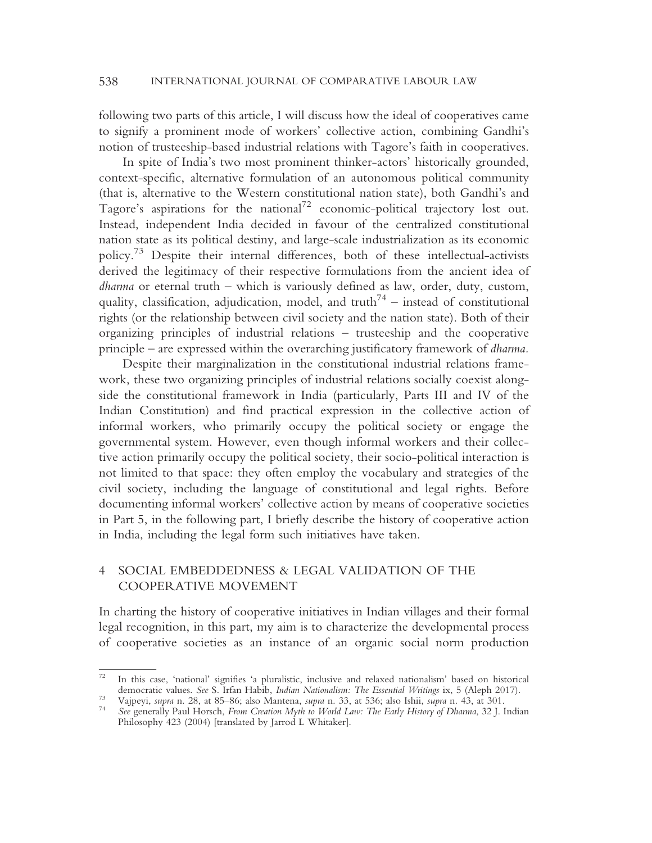following two parts of this article, I will discuss how the ideal of cooperatives came to signify a prominent mode of workers' collective action, combining Gandhi's notion of trusteeship-based industrial relations with Tagore's faith in cooperatives.

In spite of India's two most prominent thinker-actors' historically grounded, context-specific, alternative formulation of an autonomous political community (that is, alternative to the Western constitutional nation state), both Gandhi's and Tagore's aspirations for the national<sup>72</sup> economic-political trajectory lost out. Instead, independent India decided in favour of the centralized constitutional nation state as its political destiny, and large-scale industrialization as its economic policy.73 Despite their internal differences, both of these intellectual-activists derived the legitimacy of their respective formulations from the ancient idea of dharma or eternal truth – which is variously defined as law, order, duty, custom, quality, classification, adjudication, model, and truth<sup>74</sup> – instead of constitutional rights (or the relationship between civil society and the nation state). Both of their organizing principles of industrial relations – trusteeship and the cooperative principle – are expressed within the overarching justificatory framework of dharma.

Despite their marginalization in the constitutional industrial relations framework, these two organizing principles of industrial relations socially coexist alongside the constitutional framework in India (particularly, Parts III and IV of the Indian Constitution) and find practical expression in the collective action of informal workers, who primarily occupy the political society or engage the governmental system. However, even though informal workers and their collective action primarily occupy the political society, their socio-political interaction is not limited to that space: they often employ the vocabulary and strategies of the civil society, including the language of constitutional and legal rights. Before documenting informal workers' collective action by means of cooperative societies in Part 5, in the following part, I briefly describe the history of cooperative action in India, including the legal form such initiatives have taken.

## 4 SOCIAL EMBEDDEDNESS & LEGAL VALIDATION OF THE COOPERATIVE MOVEMENT

In charting the history of cooperative initiatives in Indian villages and their formal legal recognition, in this part, my aim is to characterize the developmental process of cooperative societies as an instance of an organic social norm production

<sup>&</sup>lt;sup>72</sup> In this case, 'national' signifies 'a pluralistic, inclusive and relaxed nationalism' based on historical democratic values. See S. Irfan Habib, *Indian Nationalism: The Essential Writings* ix, 5 (Aleph 2017).

Vajpeyi, *supra* n. 28, at 85–86; also Mantena, *supra* n. 33, at 536; also Ishii, *supra* n. 43, at 301.<br><sup>74</sup> See generally Paul Horsch, From Creation Myth to World Law: The Early History of Dharma, 32 J. Indian

Philosophy 423 (2004) [translated by Jarrod L Whitaker].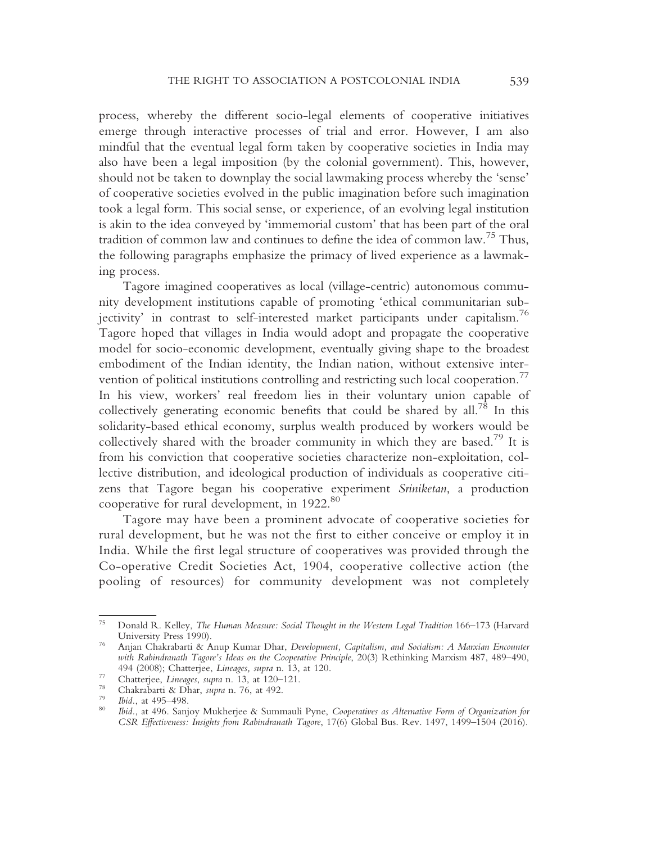process, whereby the different socio-legal elements of cooperative initiatives emerge through interactive processes of trial and error. However, I am also mindful that the eventual legal form taken by cooperative societies in India may also have been a legal imposition (by the colonial government). This, however, should not be taken to downplay the social lawmaking process whereby the 'sense' of cooperative societies evolved in the public imagination before such imagination took a legal form. This social sense, or experience, of an evolving legal institution is akin to the idea conveyed by 'immemorial custom' that has been part of the oral tradition of common law and continues to define the idea of common law.<sup>75</sup> Thus, the following paragraphs emphasize the primacy of lived experience as a lawmaking process.

Tagore imagined cooperatives as local (village-centric) autonomous community development institutions capable of promoting 'ethical communitarian subjectivity' in contrast to self-interested market participants under capitalism.<sup>76</sup> Tagore hoped that villages in India would adopt and propagate the cooperative model for socio-economic development, eventually giving shape to the broadest embodiment of the Indian identity, the Indian nation, without extensive intervention of political institutions controlling and restricting such local cooperation.<sup>77</sup> In his view, workers' real freedom lies in their voluntary union capable of collectively generating economic benefits that could be shared by all.<sup>78</sup> In this solidarity-based ethical economy, surplus wealth produced by workers would be collectively shared with the broader community in which they are based.<sup>79</sup> It is from his conviction that cooperative societies characterize non-exploitation, collective distribution, and ideological production of individuals as cooperative citizens that Tagore began his cooperative experiment Sriniketan, a production cooperative for rural development, in 1922.<sup>80</sup>

Tagore may have been a prominent advocate of cooperative societies for rural development, but he was not the first to either conceive or employ it in India. While the first legal structure of cooperatives was provided through the Co-operative Credit Societies Act, 1904, cooperative collective action (the pooling of resources) for community development was not completely

<sup>75</sup> Donald R. Kelley, The Human Measure: Social Thought in the Western Legal Tradition 166–173 (Harvard University Press 1990).<br><sup>76</sup> Anjan Chakrabarti & Anup Kumar Dhar, *Development, Capitalism, and Socialism: A Marxian Encounter* 

with Rabindranath Tagore's Ideas on the Cooperative Principle, 20(3) Rethinking Marxism 487, 489–490, 494 (2008); Chatterjee, *Lineages, supra* n. 13, at 120.<br>
<sup>77</sup> Chatterjee, *Lineages, supra* n. 13, at 120–121.<br>
<sup>78</sup> Chakrabarti & Dhar, *supra* n. 76, at 492.<br>
<sup>79</sup> Ibid., at 495–498.<br>
<sup>80</sup> Ibid., at 496. Sanjoy Mukherje

CSR Effectiveness: Insights from Rabindranath Tagore, 17(6) Global Bus. Rev. 1497, 1499–1504 (2016).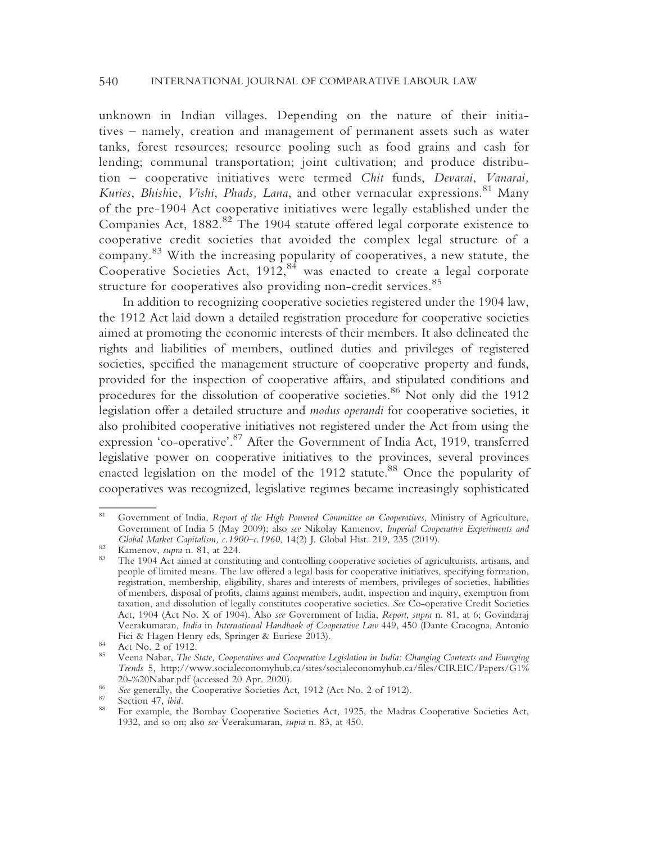unknown in Indian villages. Depending on the nature of their initiatives – namely, creation and management of permanent assets such as water tanks, forest resources; resource pooling such as food grains and cash for lending; communal transportation; joint cultivation; and produce distribution – cooperative initiatives were termed Chit funds, Devarai, Vanarai, Kuries, Bhishie, Vishi, Phads, Lana, and other vernacular expressions.<sup>81</sup> Many of the pre-1904 Act cooperative initiatives were legally established under the Companies Act,  $1882$ <sup>82</sup> The 1904 statute offered legal corporate existence to cooperative credit societies that avoided the complex legal structure of a company. <sup>83</sup> With the increasing popularity of cooperatives, a new statute, the Cooperative Societies Act,  $1912$ ,  $84$  was enacted to create a legal corporate structure for cooperatives also providing non-credit services.<sup>85</sup>

In addition to recognizing cooperative societies registered under the 1904 law, the 1912 Act laid down a detailed registration procedure for cooperative societies aimed at promoting the economic interests of their members. It also delineated the rights and liabilities of members, outlined duties and privileges of registered societies, specified the management structure of cooperative property and funds, provided for the inspection of cooperative affairs, and stipulated conditions and procedures for the dissolution of cooperative societies.<sup>86</sup> Not only did the 1912 legislation offer a detailed structure and modus operandi for cooperative societies, it also prohibited cooperative initiatives not registered under the Act from using the expression 'co-operative'. <sup>87</sup> After the Government of India Act, 1919, transferred legislative power on cooperative initiatives to the provinces, several provinces enacted legislation on the model of the 1912 statute.<sup>88</sup> Once the popularity of cooperatives was recognized, legislative regimes became increasingly sophisticated

Government of India, Report of the High Powered Committee on Cooperatives, Ministry of Agriculture, Government of India 5 (May 2009); also see Nikolay Kamenov, Imperial Cooperative Experiments and Global Market Capitalism, c. 1900–c. 1960, 14(2) J. Global Hist. 219, 235 (2019).

Equation Market Capitalism, 2120–211, 219, 219, 219, 219, 219, 2019).  $\frac{1}{2}$  Kamenov, *supra* n. 81, at 224. The 1904 Act aimed at constituting and controlling cooperative societies of agriculturists, artisans, and people of limited means. The law offered a legal basis for cooperative initiatives, specifying formation, registration, membership, eligibility, shares and interests of members, privileges of societies, liabilities of members, disposal of profits, claims against members, audit, inspection and inquiry, exemption from taxation, and dissolution of legally constitutes cooperative societies. See Co-operative Credit Societies Act, 1904 (Act No. X of 1904). Also see Government of India, Report, supra n. 81, at 6; Govindaraj Veerakumaran, India in International Handbook of Cooperative Law 449, 450 (Dante Cracogna, Antonio Fici & Hagen Henry eds, Springer & Euricse 2013).<br>84 Act No. 2 of 1912.<br>Veena Nabar, *The State, Cooperatives and Cooperative Legislation in India: Changing Contexts and Emerging* 

Trends 5, http://www.socialeconomyhub.ca/sites/socialeconomyhub.ca/files/CIREIC/Papers/G1%

<sup>20-%20</sup>Nabar.pdf (accessed 20 Apr. 2020).<br>
<sup>86</sup> See generally, the Cooperative Societies Act, 1912 (Act No. 2 of 1912).<br>
<sup>87</sup> Section 47, *ibid.*<br>
<sup>87</sup> Section 47, *ibid.*<br>
<sup>87</sup> Section 47, *ibid.* 1932, and so on; also see Veerakumaran, supra n. 83, at 450.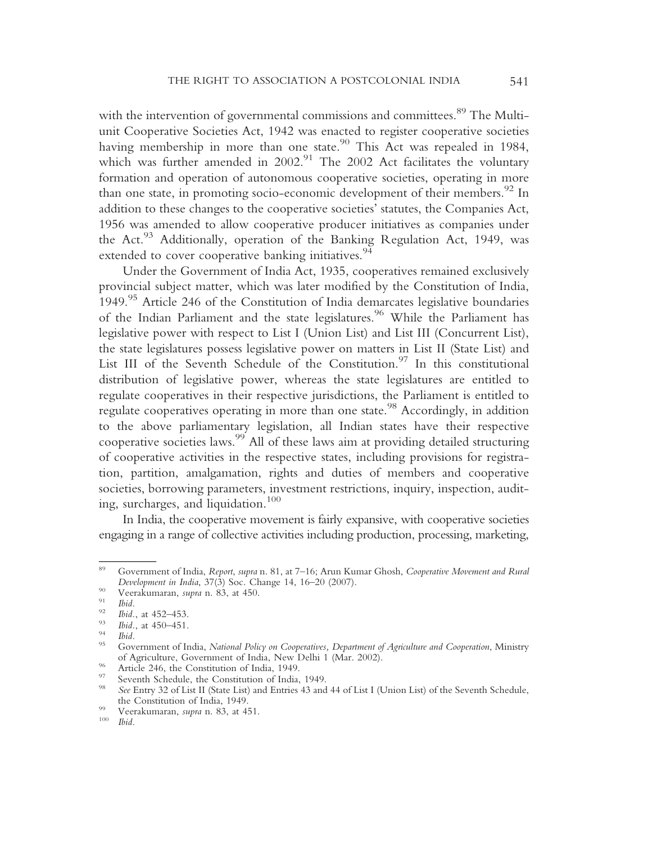with the intervention of governmental commissions and committees.<sup>89</sup> The Multiunit Cooperative Societies Act, 1942 was enacted to register cooperative societies having membership in more than one state.<sup>90</sup> This Act was repealed in 1984, which was further amended in  $2002.^{91}$  The 2002 Act facilitates the voluntary formation and operation of autonomous cooperative societies, operating in more than one state, in promoting socio-economic development of their members.  $^{92}$  In addition to these changes to the cooperative societies' statutes, the Companies Act, 1956 was amended to allow cooperative producer initiatives as companies under the Act.<sup>93</sup> Additionally, operation of the Banking Regulation Act, 1949, was extended to cover cooperative banking initiatives.<sup>94</sup>

Under the Government of India Act, 1935, cooperatives remained exclusively provincial subject matter, which was later modified by the Constitution of India, 1949.<sup>95</sup> Article 246 of the Constitution of India demarcates legislative boundaries of the Indian Parliament and the state legislatures.<sup>96</sup> While the Parliament has legislative power with respect to List I (Union List) and List III (Concurrent List), the state legislatures possess legislative power on matters in List II (State List) and List III of the Seventh Schedule of the Constitution.<sup>97</sup> In this constitutional distribution of legislative power, whereas the state legislatures are entitled to regulate cooperatives in their respective jurisdictions, the Parliament is entitled to regulate cooperatives operating in more than one state.<sup>98</sup> Accordingly, in addition to the above parliamentary legislation, all Indian states have their respective cooperative societies laws.<sup>99</sup> All of these laws aim at providing detailed structuring of cooperative activities in the respective states, including provisions for registration, partition, amalgamation, rights and duties of members and cooperative societies, borrowing parameters, investment restrictions, inquiry, inspection, auditing, surcharges, and liquidation.<sup>100</sup>

In India, the cooperative movement is fairly expansive, with cooperative societies engaging in a range of collective activities including production, processing, marketing,

<sup>89</sup> Government of India, Report, supra n. 81, at 7–16; Arun Kumar Ghosh, Cooperative Movement and Rural<br>Development in India, 37(3) Soc. Change 14, 16–20 (2007).

<sup>&</sup>lt;sup>90</sup> Veerakumaran, *supra* n. 83, at 450.<br><sup>91</sup> Ibid.<br><sup>92</sup> Ibid., at 452–453.<br><sup>93</sup> Ibid., at 450–451.<br><sup>94</sup> Ibid.<br><sup>95</sup> Government of India, *National Policy on Cooperatives, Department of Agriculture and Cooperation, Ministr* % of Agriculture, Government of India, New Delhi 1 (Mar. 2002).<br>
<sup>96</sup> Article 246, the Constitution of India, 1949.<br>
<sup>97</sup> Seventh Schedule, the Constitution of India, 1949.<br>
<sup>98</sup> See Entry 32 of List II (State List) and En

the Constitution of India, 1949.<br><sup>99</sup> Veerakumaran, *supra* n. 83, at 451.<br><sup>100</sup> Ibid.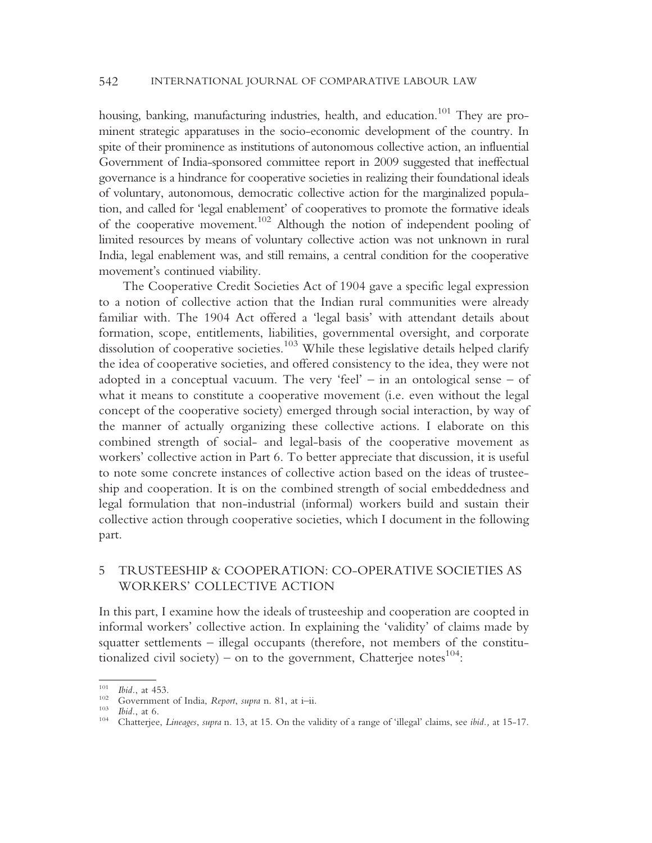housing, banking, manufacturing industries, health, and education.<sup>101</sup> They are prominent strategic apparatuses in the socio-economic development of the country. In spite of their prominence as institutions of autonomous collective action, an influential Government of India-sponsored committee report in 2009 suggested that ineffectual governance is a hindrance for cooperative societies in realizing their foundational ideals of voluntary, autonomous, democratic collective action for the marginalized population, and called for 'legal enablement' of cooperatives to promote the formative ideals of the cooperative movement.102 Although the notion of independent pooling of limited resources by means of voluntary collective action was not unknown in rural India, legal enablement was, and still remains, a central condition for the cooperative movement's continued viability.

The Cooperative Credit Societies Act of 1904 gave a specific legal expression to a notion of collective action that the Indian rural communities were already familiar with. The 1904 Act offered a 'legal basis' with attendant details about formation, scope, entitlements, liabilities, governmental oversight, and corporate dissolution of cooperative societies.<sup>103</sup> While these legislative details helped clarify the idea of cooperative societies, and offered consistency to the idea, they were not adopted in a conceptual vacuum. The very 'feel' – in an ontological sense – of what it means to constitute a cooperative movement (i.e. even without the legal concept of the cooperative society) emerged through social interaction, by way of the manner of actually organizing these collective actions. I elaborate on this combined strength of social- and legal-basis of the cooperative movement as workers' collective action in Part 6. To better appreciate that discussion, it is useful to note some concrete instances of collective action based on the ideas of trusteeship and cooperation. It is on the combined strength of social embeddedness and legal formulation that non-industrial (informal) workers build and sustain their collective action through cooperative societies, which I document in the following part.

### 5 TRUSTEESHIP & COOPERATION: CO-OPERATIVE SOCIETIES AS WORKERS' COLLECTIVE ACTION

In this part, I examine how the ideals of trusteeship and cooperation are coopted in informal workers' collective action. In explaining the 'validity' of claims made by squatter settlements – illegal occupants (therefore, not members of the constitutionalized civil society) – on to the government, Chatterjee notes $^{104}$ :

<sup>&</sup>lt;sup>101</sup> Ibid., at 453.<br><sup>102</sup> Government of India, *Report, supra* n. 81, at i–ii.<br><sup>103</sup> Ibid., at 6.<br><sup>104</sup> Chatterjee, *Lineages, supra* n. 13, at 15. On the validity of a range of 'illegal' claims, see ibid., at 15-17.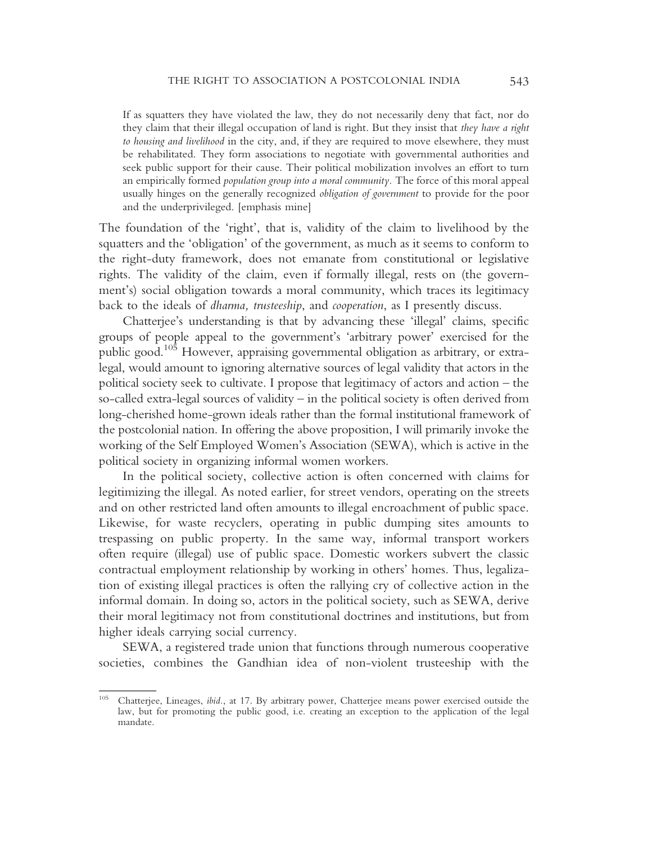If as squatters they have violated the law, they do not necessarily deny that fact, nor do they claim that their illegal occupation of land is right. But they insist that they have a right to housing and livelihood in the city, and, if they are required to move elsewhere, they must be rehabilitated. They form associations to negotiate with governmental authorities and seek public support for their cause. Their political mobilization involves an effort to turn an empirically formed *population group into a moral community*. The force of this moral appeal usually hinges on the generally recognized obligation of government to provide for the poor and the underprivileged. [emphasis mine]

The foundation of the 'right', that is, validity of the claim to livelihood by the squatters and the 'obligation' of the government, as much as it seems to conform to the right-duty framework, does not emanate from constitutional or legislative rights. The validity of the claim, even if formally illegal, rests on (the government's) social obligation towards a moral community, which traces its legitimacy back to the ideals of dharma, trusteeship, and cooperation, as I presently discuss.

Chatterjee's understanding is that by advancing these 'illegal' claims, specific groups of people appeal to the government's 'arbitrary power' exercised for the public good.105 However, appraising governmental obligation as arbitrary, or extralegal, would amount to ignoring alternative sources of legal validity that actors in the political society seek to cultivate. I propose that legitimacy of actors and action – the so-called extra-legal sources of validity – in the political society is often derived from long-cherished home-grown ideals rather than the formal institutional framework of the postcolonial nation. In offering the above proposition, I will primarily invoke the working of the Self Employed Women's Association (SEWA), which is active in the political society in organizing informal women workers.

In the political society, collective action is often concerned with claims for legitimizing the illegal. As noted earlier, for street vendors, operating on the streets and on other restricted land often amounts to illegal encroachment of public space. Likewise, for waste recyclers, operating in public dumping sites amounts to trespassing on public property. In the same way, informal transport workers often require (illegal) use of public space. Domestic workers subvert the classic contractual employment relationship by working in others' homes. Thus, legalization of existing illegal practices is often the rallying cry of collective action in the informal domain. In doing so, actors in the political society, such as SEWA, derive their moral legitimacy not from constitutional doctrines and institutions, but from higher ideals carrying social currency.

SEWA, a registered trade union that functions through numerous cooperative societies, combines the Gandhian idea of non-violent trusteeship with the

<sup>&</sup>lt;sup>105</sup> Chatterjee, Lineages, *ibid.*, at 17. By arbitrary power, Chatterjee means power exercised outside the law, but for promoting the public good, i.e. creating an exception to the application of the legal mandate.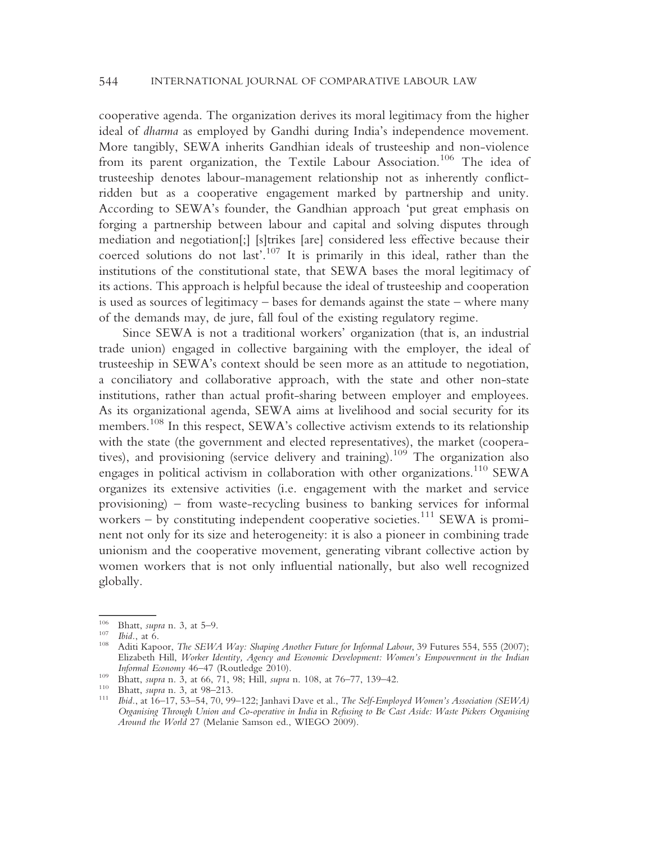cooperative agenda. The organization derives its moral legitimacy from the higher ideal of dharma as employed by Gandhi during India's independence movement. More tangibly, SEWA inherits Gandhian ideals of trusteeship and non-violence from its parent organization, the Textile Labour Association.<sup>106</sup> The idea of trusteeship denotes labour-management relationship not as inherently conflictridden but as a cooperative engagement marked by partnership and unity. According to SEWA's founder, the Gandhian approach 'put great emphasis on forging a partnership between labour and capital and solving disputes through mediation and negotiation[;] [s]trikes [are] considered less effective because their coerced solutions do not last'. <sup>107</sup> It is primarily in this ideal, rather than the institutions of the constitutional state, that SEWA bases the moral legitimacy of its actions. This approach is helpful because the ideal of trusteeship and cooperation is used as sources of legitimacy – bases for demands against the state – where many of the demands may, de jure, fall foul of the existing regulatory regime.

Since SEWA is not a traditional workers' organization (that is, an industrial trade union) engaged in collective bargaining with the employer, the ideal of trusteeship in SEWA's context should be seen more as an attitude to negotiation, a conciliatory and collaborative approach, with the state and other non-state institutions, rather than actual profit-sharing between employer and employees. As its organizational agenda, SEWA aims at livelihood and social security for its members.<sup>108</sup> In this respect, SEWA's collective activism extends to its relationship with the state (the government and elected representatives), the market (cooperatives), and provisioning (service delivery and training).<sup>109</sup> The organization also engages in political activism in collaboration with other organizations.<sup>110</sup> SEWA organizes its extensive activities (i.e. engagement with the market and service provisioning) – from waste-recycling business to banking services for informal workers – by constituting independent cooperative societies.<sup>111</sup> SEWA is prominent not only for its size and heterogeneity: it is also a pioneer in combining trade unionism and the cooperative movement, generating vibrant collective action by women workers that is not only influential nationally, but also well recognized globally.

<sup>&</sup>lt;sup>106</sup> Bhatt, *supra* n. 3, at 5–9.<br><sup>107</sup> Ibid., at 6.<br><sup>108</sup> Aditi Kapoor, *The SEWA Way: Shaping Another Future for Informal Labour*, 39 Futures 554, 555 (2007); Elizabeth Hill, Worker Identity, Agency and Economic Development: Women's Empowerment in the Indian Informal Economy 46–47 (Routledge 2010).<br>
109 Bhatt, supra n. 3, at 66, 71, 98; Hill, supra n. 108, at 76–77, 139–42.<br>
110 Bhatt, supra n. 3, at 98–213.<br>
111 Ibid., at 16–17, 53–54, 70, 99–122; Janhavi Dave et al., *The Se* 

Organising Through Union and Co-operative in India in Refusing to Be Cast Aside: Waste Pickers Organising Around the World 27 (Melanie Samson ed., WIEGO 2009).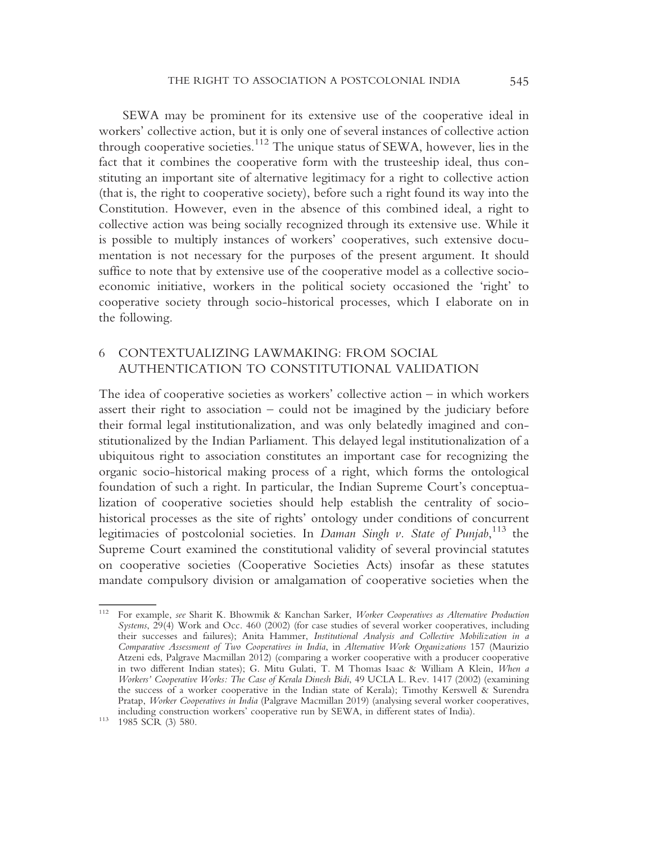SEWA may be prominent for its extensive use of the cooperative ideal in workers' collective action, but it is only one of several instances of collective action through cooperative societies.112 The unique status of SEWA, however, lies in the fact that it combines the cooperative form with the trusteeship ideal, thus constituting an important site of alternative legitimacy for a right to collective action (that is, the right to cooperative society), before such a right found its way into the Constitution. However, even in the absence of this combined ideal, a right to collective action was being socially recognized through its extensive use. While it is possible to multiply instances of workers' cooperatives, such extensive documentation is not necessary for the purposes of the present argument. It should suffice to note that by extensive use of the cooperative model as a collective socioeconomic initiative, workers in the political society occasioned the 'right' to cooperative society through socio-historical processes, which I elaborate on in the following.

# 6 CONTEXTUALIZING LAWMAKING: FROM SOCIAL AUTHENTICATION TO CONSTITUTIONAL VALIDATION

The idea of cooperative societies as workers' collective action – in which workers assert their right to association – could not be imagined by the judiciary before their formal legal institutionalization, and was only belatedly imagined and constitutionalized by the Indian Parliament. This delayed legal institutionalization of a ubiquitous right to association constitutes an important case for recognizing the organic socio-historical making process of a right, which forms the ontological foundation of such a right. In particular, the Indian Supreme Court's conceptualization of cooperative societies should help establish the centrality of sociohistorical processes as the site of rights' ontology under conditions of concurrent legitimacies of postcolonial societies. In Daman Singh v. State of Punjab, 113 the Supreme Court examined the constitutional validity of several provincial statutes on cooperative societies (Cooperative Societies Acts) insofar as these statutes mandate compulsory division or amalgamation of cooperative societies when the

<sup>&</sup>lt;sup>112</sup> For example, see Sharit K. Bhowmik & Kanchan Sarker, Worker Cooperatives as Alternative Production Systems, 29(4) Work and Occ. 460 (2002) (for case studies of several worker cooperatives, including their successes and failures); Anita Hammer, Institutional Analysis and Collective Mobilization in a Comparative Assessment of Two Cooperatives in India, in Alternative Work Organizations 157 (Maurizio Atzeni eds, Palgrave Macmillan 2012) (comparing a worker cooperative with a producer cooperative in two different Indian states); G. Mitu Gulati, T. M Thomas Isaac & William A Klein, When a Workers' Cooperative Works: The Case of Kerala Dinesh Bidi, 49 UCLA L. Rev. 1417 (2002) (examining the success of a worker cooperative in the Indian state of Kerala); Timothy Kerswell & Surendra Pratap, Worker Cooperatives in India (Palgrave Macmillan 2019) (analysing several worker cooperatives, including construction workers' cooperative run by SEWA, in different states of India). <sup>113</sup> 1985 SCR (3) 580.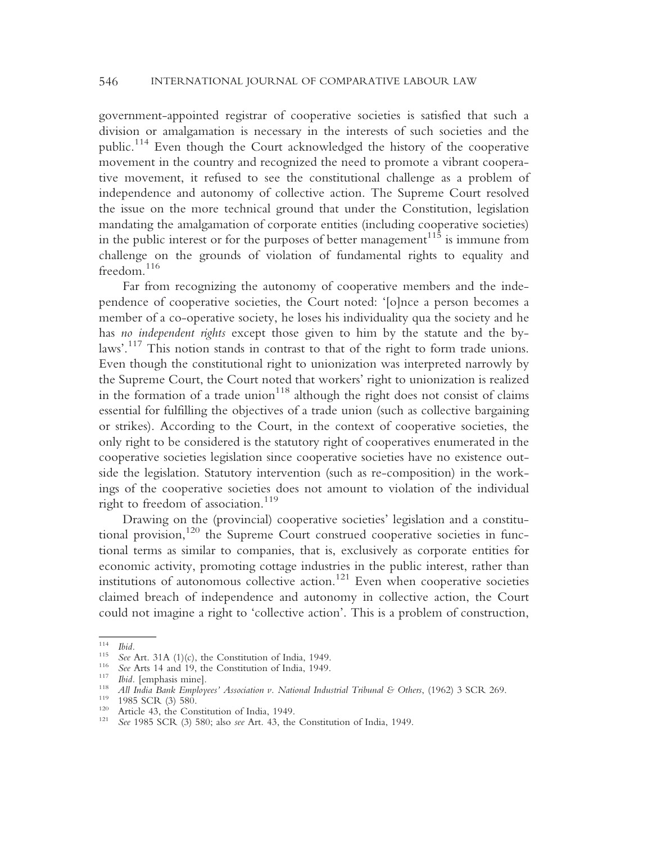government-appointed registrar of cooperative societies is satisfied that such a division or amalgamation is necessary in the interests of such societies and the public.<sup>114</sup> Even though the Court acknowledged the history of the cooperative movement in the country and recognized the need to promote a vibrant cooperative movement, it refused to see the constitutional challenge as a problem of independence and autonomy of collective action. The Supreme Court resolved the issue on the more technical ground that under the Constitution, legislation mandating the amalgamation of corporate entities (including cooperative societies) in the public interest or for the purposes of better management<sup>115</sup> is immune from challenge on the grounds of violation of fundamental rights to equality and freedom.<sup>116</sup>

Far from recognizing the autonomy of cooperative members and the independence of cooperative societies, the Court noted: '[o]nce a person becomes a member of a co-operative society, he loses his individuality qua the society and he has no independent rights except those given to him by the statute and the bylaws'. <sup>117</sup> This notion stands in contrast to that of the right to form trade unions. Even though the constitutional right to unionization was interpreted narrowly by the Supreme Court, the Court noted that workers' right to unionization is realized in the formation of a trade union<sup>118</sup> although the right does not consist of claims essential for fulfilling the objectives of a trade union (such as collective bargaining or strikes). According to the Court, in the context of cooperative societies, the only right to be considered is the statutory right of cooperatives enumerated in the cooperative societies legislation since cooperative societies have no existence outside the legislation. Statutory intervention (such as re-composition) in the workings of the cooperative societies does not amount to violation of the individual right to freedom of association.<sup>119</sup>

Drawing on the (provincial) cooperative societies' legislation and a constitutional provision,120 the Supreme Court construed cooperative societies in functional terms as similar to companies, that is, exclusively as corporate entities for economic activity, promoting cottage industries in the public interest, rather than institutions of autonomous collective action.<sup>121</sup> Even when cooperative societies claimed breach of independence and autonomy in collective action, the Court could not imagine a right to 'collective action'. This is a problem of construction,

The Thid.<br>
115 See Art. 31A (1)(c), the Constitution of India, 1949.<br>
116 See Arts 14 and 19, the Constitution of India, 1949.<br>
117 Ibid. [emphasis mine].<br>
118 All India Bank Employees' Association v. National Industrial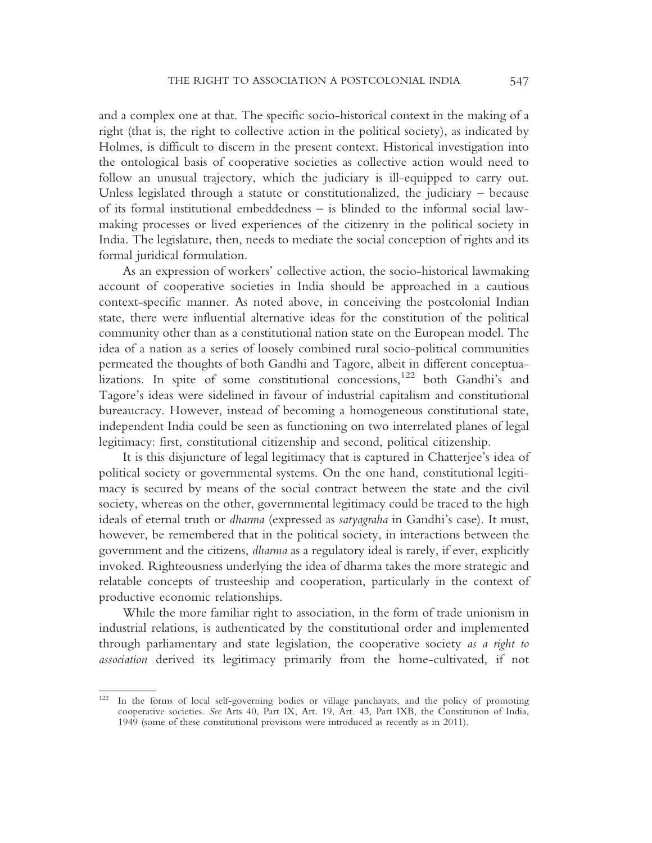and a complex one at that. The specific socio-historical context in the making of a right (that is, the right to collective action in the political society), as indicated by Holmes, is difficult to discern in the present context. Historical investigation into the ontological basis of cooperative societies as collective action would need to follow an unusual trajectory, which the judiciary is ill-equipped to carry out. Unless legislated through a statute or constitutionalized, the judiciary – because of its formal institutional embeddedness – is blinded to the informal social lawmaking processes or lived experiences of the citizenry in the political society in India. The legislature, then, needs to mediate the social conception of rights and its formal juridical formulation.

As an expression of workers' collective action, the socio-historical lawmaking account of cooperative societies in India should be approached in a cautious context-specific manner. As noted above, in conceiving the postcolonial Indian state, there were influential alternative ideas for the constitution of the political community other than as a constitutional nation state on the European model. The idea of a nation as a series of loosely combined rural socio-political communities permeated the thoughts of both Gandhi and Tagore, albeit in different conceptualizations. In spite of some constitutional concessions,122 both Gandhi's and Tagore's ideas were sidelined in favour of industrial capitalism and constitutional bureaucracy. However, instead of becoming a homogeneous constitutional state, independent India could be seen as functioning on two interrelated planes of legal legitimacy: first, constitutional citizenship and second, political citizenship.

It is this disjuncture of legal legitimacy that is captured in Chatterjee's idea of political society or governmental systems. On the one hand, constitutional legitimacy is secured by means of the social contract between the state and the civil society, whereas on the other, governmental legitimacy could be traced to the high ideals of eternal truth or dharma (expressed as satyagraha in Gandhi's case). It must, however, be remembered that in the political society, in interactions between the government and the citizens, dharma as a regulatory ideal is rarely, if ever, explicitly invoked. Righteousness underlying the idea of dharma takes the more strategic and relatable concepts of trusteeship and cooperation, particularly in the context of productive economic relationships.

While the more familiar right to association, in the form of trade unionism in industrial relations, is authenticated by the constitutional order and implemented through parliamentary and state legislation, the cooperative society as a right to association derived its legitimacy primarily from the home-cultivated, if not

<sup>122</sup> In the forms of local self-governing bodies or village panchayats, and the policy of promoting cooperative societies. See Arts 40, Part IX, Art. 19, Art. 43, Part IXB, the Constitution of India, 1949 (some of these constitutional provisions were introduced as recently as in 2011).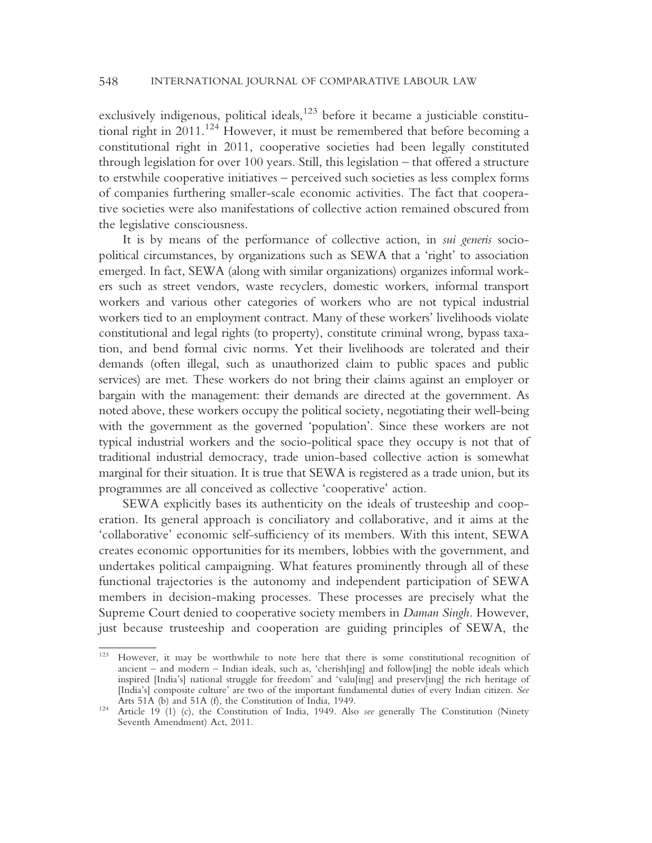exclusively indigenous, political ideals,<sup>123</sup> before it became a justiciable constitutional right in 2011.124 However, it must be remembered that before becoming a constitutional right in 2011, cooperative societies had been legally constituted through legislation for over 100 years. Still, this legislation – that offered a structure to erstwhile cooperative initiatives – perceived such societies as less complex forms of companies furthering smaller-scale economic activities. The fact that cooperative societies were also manifestations of collective action remained obscured from the legislative consciousness.

It is by means of the performance of collective action, in sui generis sociopolitical circumstances, by organizations such as SEWA that a 'right' to association emerged. In fact, SEWA (along with similar organizations) organizes informal workers such as street vendors, waste recyclers, domestic workers, informal transport workers and various other categories of workers who are not typical industrial workers tied to an employment contract. Many of these workers' livelihoods violate constitutional and legal rights (to property), constitute criminal wrong, bypass taxation, and bend formal civic norms. Yet their livelihoods are tolerated and their demands (often illegal, such as unauthorized claim to public spaces and public services) are met. These workers do not bring their claims against an employer or bargain with the management: their demands are directed at the government. As noted above, these workers occupy the political society, negotiating their well-being with the government as the governed 'population'. Since these workers are not typical industrial workers and the socio-political space they occupy is not that of traditional industrial democracy, trade union-based collective action is somewhat marginal for their situation. It is true that SEWA is registered as a trade union, but its programmes are all conceived as collective 'cooperative' action.

SEWA explicitly bases its authenticity on the ideals of trusteeship and cooperation. Its general approach is conciliatory and collaborative, and it aims at the 'collaborative' economic self-sufficiency of its members. With this intent, SEWA creates economic opportunities for its members, lobbies with the government, and undertakes political campaigning. What features prominently through all of these functional trajectories is the autonomy and independent participation of SEWA members in decision-making processes. These processes are precisely what the Supreme Court denied to cooperative society members in Daman Singh. However, just because trusteeship and cooperation are guiding principles of SEWA, the

<sup>123</sup> However, it may be worthwhile to note here that there is some constitutional recognition of ancient – and modern – Indian ideals, such as, 'cherish[ing] and follow[ing] the noble ideals which inspired [India's] national struggle for freedom' and 'valu[ing] and preserv[ing] the rich heritage of [India's] composite culture' are two of the important fundamental duties of every Indian citizen. See Arts 51A (b) and 51A (f), the Constitution of India, 1949.

Article 19 (1) (c), the Constitution of India, 1949. Also *see* generally The Constitution (Ninety Seventh Amendment) Act, 2011.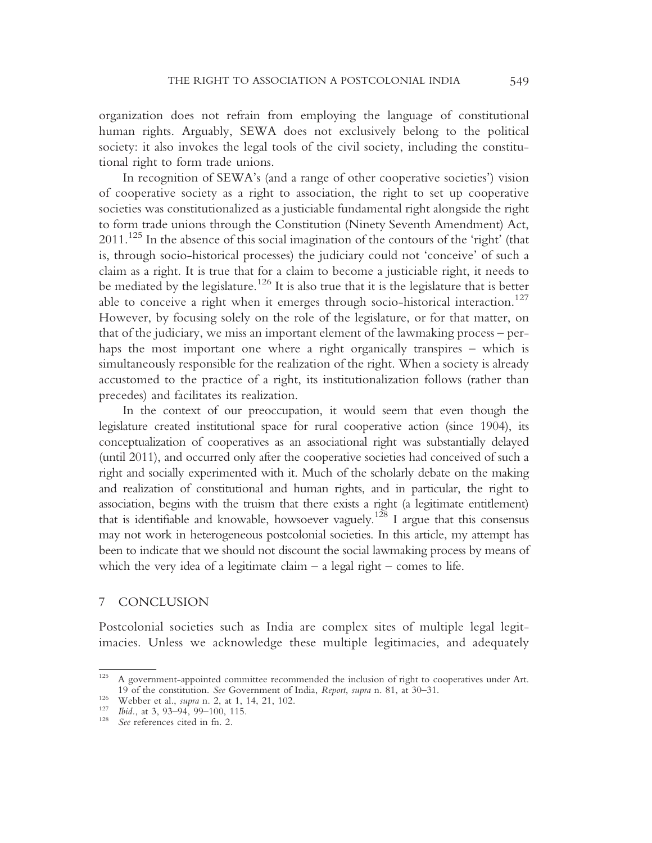organization does not refrain from employing the language of constitutional human rights. Arguably, SEWA does not exclusively belong to the political society: it also invokes the legal tools of the civil society, including the constitutional right to form trade unions.

In recognition of SEWA's (and a range of other cooperative societies') vision of cooperative society as a right to association, the right to set up cooperative societies was constitutionalized as a justiciable fundamental right alongside the right to form trade unions through the Constitution (Ninety Seventh Amendment) Act, 2011.125 In the absence of this social imagination of the contours of the 'right' (that is, through socio-historical processes) the judiciary could not 'conceive' of such a claim as a right. It is true that for a claim to become a justiciable right, it needs to be mediated by the legislature.<sup>126</sup> It is also true that it is the legislature that is better able to conceive a right when it emerges through socio-historical interaction.<sup>127</sup> However, by focusing solely on the role of the legislature, or for that matter, on that of the judiciary, we miss an important element of the lawmaking process – perhaps the most important one where a right organically transpires – which is simultaneously responsible for the realization of the right. When a society is already accustomed to the practice of a right, its institutionalization follows (rather than precedes) and facilitates its realization.

In the context of our preoccupation, it would seem that even though the legislature created institutional space for rural cooperative action (since 1904), its conceptualization of cooperatives as an associational right was substantially delayed (until 2011), and occurred only after the cooperative societies had conceived of such a right and socially experimented with it. Much of the scholarly debate on the making and realization of constitutional and human rights, and in particular, the right to association, begins with the truism that there exists a right (a legitimate entitlement) that is identifiable and knowable, howsoever vaguely.<sup>128</sup> I argue that this consensus may not work in heterogeneous postcolonial societies. In this article, my attempt has been to indicate that we should not discount the social lawmaking process by means of which the very idea of a legitimate claim  $-$  a legal right  $-$  comes to life.

#### 7 CONCLUSION

Postcolonial societies such as India are complex sites of multiple legal legitimacies. Unless we acknowledge these multiple legitimacies, and adequately

<sup>&</sup>lt;sup>125</sup> A government-appointed committee recommended the inclusion of right to cooperatives under Art. 19 of the constitution. See Government of India, Report, supra n. 81, at 30–31.<br>
<sup>126</sup> Webber et al., supra n. 2, at 1, 14, 21, 102.<br>
<sup>127</sup> Ibid., at 3, 93–94, 99–100, 115.<br>
<sup>128</sup> See references cited in fn. 2.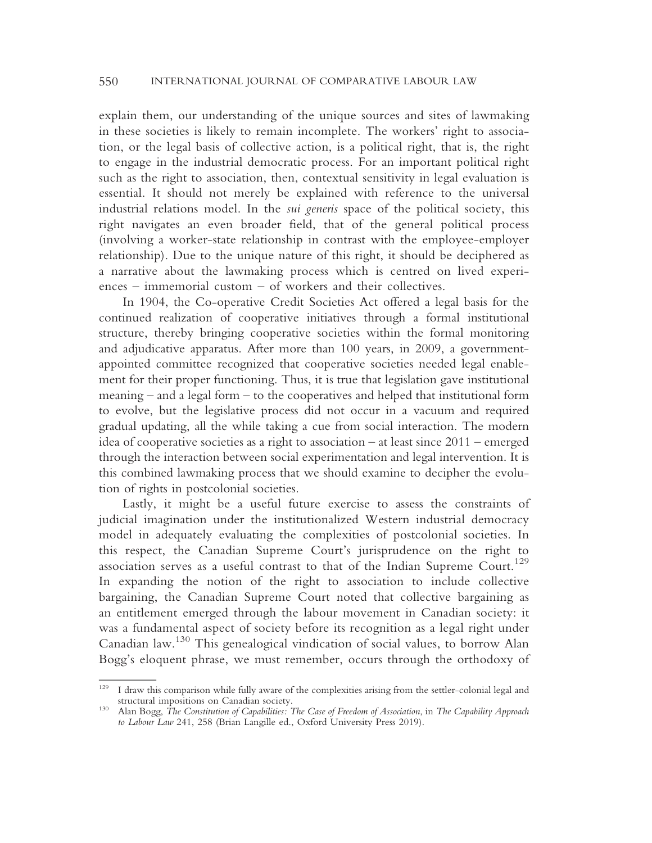explain them, our understanding of the unique sources and sites of lawmaking in these societies is likely to remain incomplete. The workers' right to association, or the legal basis of collective action, is a political right, that is, the right to engage in the industrial democratic process. For an important political right such as the right to association, then, contextual sensitivity in legal evaluation is essential. It should not merely be explained with reference to the universal industrial relations model. In the sui generis space of the political society, this right navigates an even broader field, that of the general political process (involving a worker-state relationship in contrast with the employee-employer relationship). Due to the unique nature of this right, it should be deciphered as a narrative about the lawmaking process which is centred on lived experiences – immemorial custom – of workers and their collectives.

In 1904, the Co-operative Credit Societies Act offered a legal basis for the continued realization of cooperative initiatives through a formal institutional structure, thereby bringing cooperative societies within the formal monitoring and adjudicative apparatus. After more than 100 years, in 2009, a governmentappointed committee recognized that cooperative societies needed legal enablement for their proper functioning. Thus, it is true that legislation gave institutional meaning – and a legal form – to the cooperatives and helped that institutional form to evolve, but the legislative process did not occur in a vacuum and required gradual updating, all the while taking a cue from social interaction. The modern idea of cooperative societies as a right to association – at least since 2011 – emerged through the interaction between social experimentation and legal intervention. It is this combined lawmaking process that we should examine to decipher the evolution of rights in postcolonial societies.

Lastly, it might be a useful future exercise to assess the constraints of judicial imagination under the institutionalized Western industrial democracy model in adequately evaluating the complexities of postcolonial societies. In this respect, the Canadian Supreme Court's jurisprudence on the right to association serves as a useful contrast to that of the Indian Supreme Court.<sup>129</sup> In expanding the notion of the right to association to include collective bargaining, the Canadian Supreme Court noted that collective bargaining as an entitlement emerged through the labour movement in Canadian society: it was a fundamental aspect of society before its recognition as a legal right under Canadian law.<sup>130</sup> This genealogical vindication of social values, to borrow Alan Bogg's eloquent phrase, we must remember, occurs through the orthodoxy of

<sup>129</sup> I draw this comparison while fully aware of the complexities arising from the settler-colonial legal and structural impositions on Canadian society.<br>Alan Bogg, The Constitution of Capabilities: The Case of Freedom of Association, in The Capability Approach

to Labour Law 241, 258 (Brian Langille ed., Oxford University Press 2019).